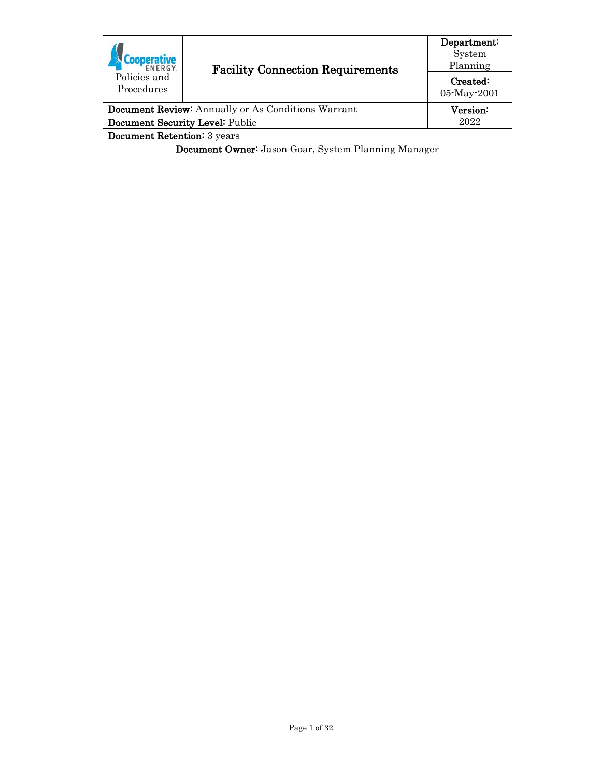| <b>FNFRGY</b>                                              |                                         |          | Department:<br>System<br>Planning |
|------------------------------------------------------------|-----------------------------------------|----------|-----------------------------------|
| Policies and<br>Procedures                                 | <b>Facility Connection Requirements</b> |          | Created:<br>05-May-2001           |
| <b>Document Review:</b> Annually or As Conditions Warrant  |                                         | Version: |                                   |
| Document Security Level: Public                            |                                         | 2022     |                                   |
| Document Retention: 3 years                                |                                         |          |                                   |
| <b>Document Owner:</b> Jason Goar, System Planning Manager |                                         |          |                                   |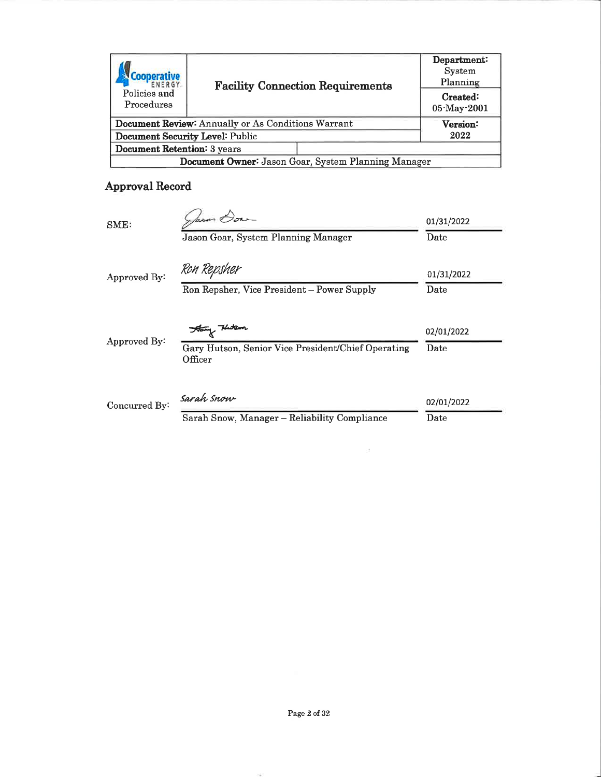| Policies and<br>Procedures                                |  | <b>Facility Connection Requirements</b> | Department:<br>System<br>Planning<br>Created:<br>05-May-2001 |
|-----------------------------------------------------------|--|-----------------------------------------|--------------------------------------------------------------|
| <b>Document Review:</b> Annually or As Conditions Warrant |  |                                         | Version:                                                     |
| Document Security Level: Public                           |  |                                         | 2022                                                         |
| <b>Document Retention: 3 years</b>                        |  |                                         |                                                              |
| Document Owner: Jason Goar, System Planning Manager       |  |                                         |                                                              |

# Approval Record

| SME:          | farm Dow                                                      | 01/31/2022 |
|---------------|---------------------------------------------------------------|------------|
|               | Jason Goar, System Planning Manager                           | Date       |
| Approved By:  | Ron Repsher                                                   | 01/31/2022 |
|               | Ron Repsher, Vice President - Power Supply                    | Date       |
|               | Hang Huten                                                    | 02/01/2022 |
| Approved By:  | Gary Hutson, Senior Vice President/Chief Operating<br>Officer | Date       |
| Concurred By: | Sarah Snow                                                    | 02/01/2022 |
|               | Sarah Snow, Manager - Reliability Compliance                  | Date       |

 $\sim$  18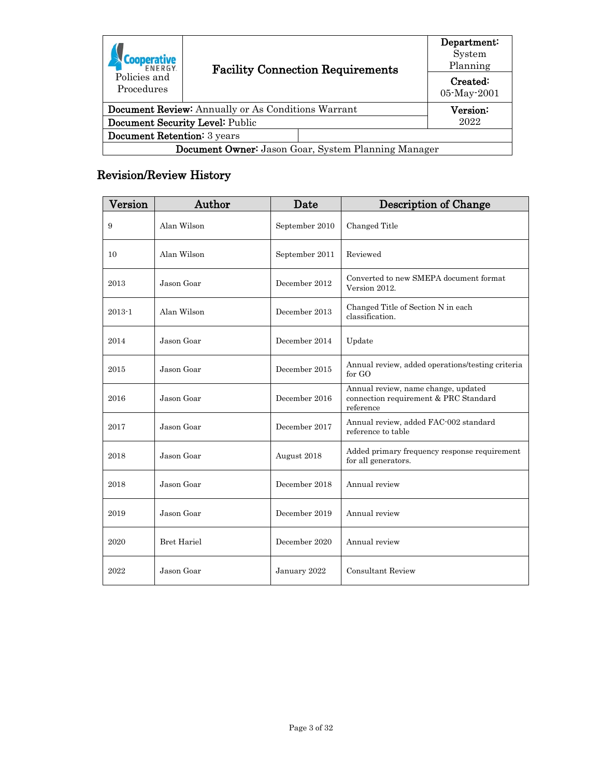| <b>FNFRGY</b>                                             |  | <b>Facility Connection Requirements</b> |                         |
|-----------------------------------------------------------|--|-----------------------------------------|-------------------------|
| Policies and<br>Procedures                                |  |                                         | Created:<br>05-May-2001 |
| <b>Document Review:</b> Annually or As Conditions Warrant |  |                                         | Version:                |
| Document Security Level: Public                           |  |                                         | 2022                    |
| Document Retention: 3 years                               |  |                                         |                         |
| Document Owner: Jason Goar, System Planning Manager       |  |                                         |                         |

# <span id="page-2-0"></span>Revision/Review History

| Version    | Author             | Date           | <b>Description of Change</b>                                                              |
|------------|--------------------|----------------|-------------------------------------------------------------------------------------------|
| 9          | Alan Wilson        | September 2010 | Changed Title                                                                             |
| 10         | Alan Wilson        | September 2011 | Reviewed                                                                                  |
| 2013       | Jason Goar         | December 2012  | Converted to new SMEPA document format<br>Version 2012.                                   |
| $2013 - 1$ | Alan Wilson        | December 2013  | Changed Title of Section N in each<br>classification.                                     |
| 2014       | Jason Goar         | December 2014  | Update                                                                                    |
| 2015       | Jason Goar         | December 2015  | Annual review, added operations/testing criteria<br>for GO                                |
| 2016       | Jason Goar         | December 2016  | Annual review, name change, updated<br>connection requirement & PRC Standard<br>reference |
| 2017       | Jason Goar         | December 2017  | Annual review, added FAC-002 standard<br>reference to table                               |
| 2018       | Jason Goar         | August 2018    | Added primary frequency response requirement<br>for all generators.                       |
| 2018       | Jason Goar         | December 2018  | Annual review                                                                             |
| 2019       | Jason Goar         | December 2019  | Annual review                                                                             |
| 2020       | <b>Bret Hariel</b> | December 2020  | Annual review                                                                             |
| 2022       | Jason Goar         | January 2022   | <b>Consultant Review</b>                                                                  |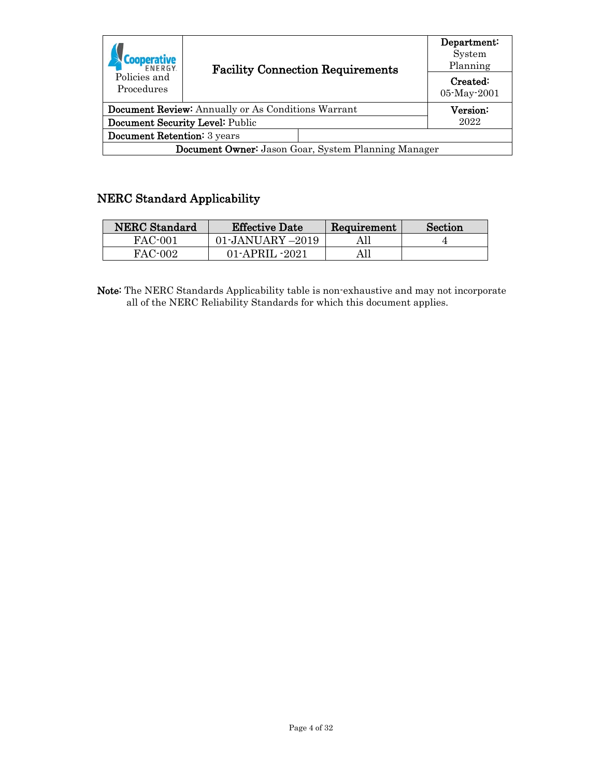| <b>FNFRGY</b>                                             |  | <b>Facility Connection Requirements</b> |                         |
|-----------------------------------------------------------|--|-----------------------------------------|-------------------------|
| Policies and<br>Procedures                                |  |                                         | Created:<br>05-May-2001 |
| <b>Document Review:</b> Annually or As Conditions Warrant |  | $\rm Version$                           |                         |
| Document Security Level: Public                           |  | 2022                                    |                         |
| Document Retention: 3 years                               |  |                                         |                         |
| Document Owner: Jason Goar, System Planning Manager       |  |                                         |                         |

# <span id="page-3-0"></span>NERC Standard Applicability

| <b>NERC</b> Standard | <b>Effective Date</b> | Requirement | Section |
|----------------------|-----------------------|-------------|---------|
| FAC-001              | 01-JANUARY –2019      |             |         |
| FAC-002              | 01-APRIL -2021        |             |         |

Note: The NERC Standards Applicability table is non-exhaustive and may not incorporate all of the NERC Reliability Standards for which this document applies.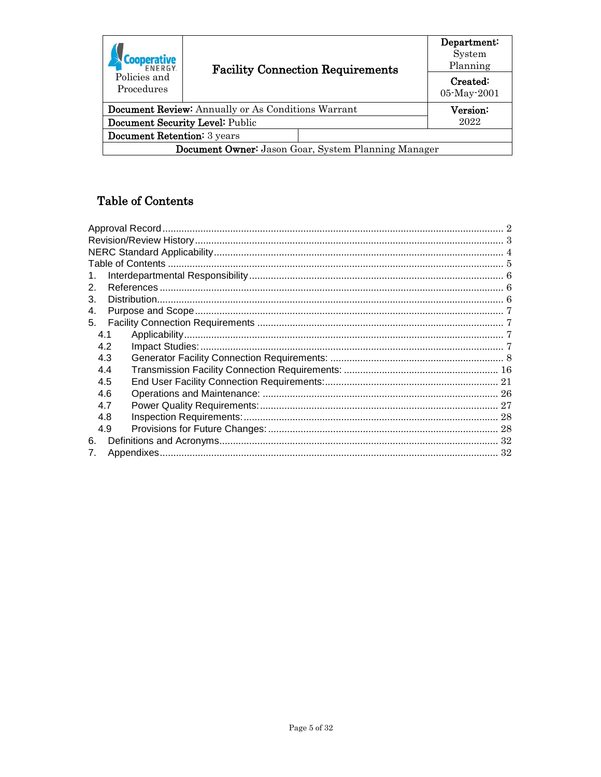| <b>FNFRGY</b>                                              | <b>Facility Connection Requirements</b> | Department:<br>System<br>Planning |  |  |
|------------------------------------------------------------|-----------------------------------------|-----------------------------------|--|--|
| Policies and<br>Procedures                                 |                                         | Created:<br>05-May-2001           |  |  |
| <b>Document Review:</b> Annually or As Conditions Warrant  |                                         | Version:                          |  |  |
| Document Security Level: Public                            |                                         | 2022                              |  |  |
| Document Retention: 3 years                                |                                         |                                   |  |  |
| <b>Document Owner:</b> Jason Goar, System Planning Manager |                                         |                                   |  |  |

# <span id="page-4-0"></span>Table of Contents

| 1.  |
|-----|
| 2.  |
| 3.  |
| 4.  |
| 5.  |
| 4.1 |
| 4.2 |
| 4.3 |
| 4.4 |
| 4.5 |
| 4.6 |
| 4.7 |
| 4.8 |
| 4.9 |
| 6.  |
| 7.  |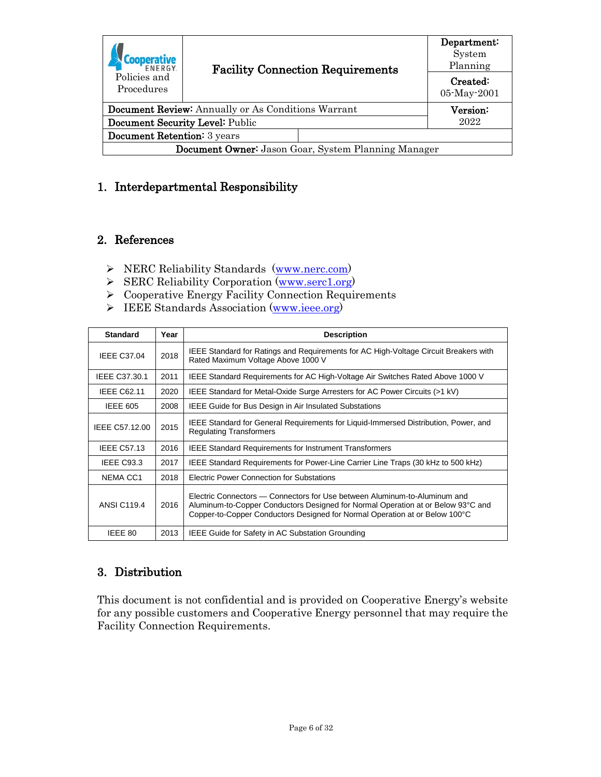| <b>FNFRGY</b>                                             |  | <b>Facility Connection Requirements</b> |                         |
|-----------------------------------------------------------|--|-----------------------------------------|-------------------------|
| Policies and<br>Procedures                                |  |                                         | Created:<br>05-May-2001 |
| <b>Document Review:</b> Annually or As Conditions Warrant |  | Version:                                |                         |
| Document Security Level: Public                           |  |                                         | 2022                    |
| Document Retention: 3 years                               |  |                                         |                         |
| Document Owner: Jason Goar, System Planning Manager       |  |                                         |                         |

# <span id="page-5-0"></span>1. Interdepartmental Responsibility

#### <span id="page-5-1"></span>2. References

- > NERC Reliability Standards [\(www.nerc.com\)](http://www.nerc.com/)
- SERC Reliability Corporation [\(www.serc1.org\)](https://serc1.org/)
- Cooperative Energy Facility Connection Requirements
- IEEE Standards Association [\(www.ieee.org\)](https://standards.ieee.org/)

| <b>Standard</b>    | Year | <b>Description</b>                                                                                                                                                                                                                           |
|--------------------|------|----------------------------------------------------------------------------------------------------------------------------------------------------------------------------------------------------------------------------------------------|
| <b>IEEE C37.04</b> | 2018 | IEEE Standard for Ratings and Requirements for AC High-Voltage Circuit Breakers with<br>Rated Maximum Voltage Above 1000 V                                                                                                                   |
| IEEE C37.30.1      | 2011 | IEEE Standard Requirements for AC High-Voltage Air Switches Rated Above 1000 V                                                                                                                                                               |
| <b>IEEE C62.11</b> | 2020 | IEEE Standard for Metal-Oxide Surge Arresters for AC Power Circuits (>1 kV)                                                                                                                                                                  |
| <b>IEEE 605</b>    | 2008 | <b>IEEE Guide for Bus Design in Air Insulated Substations</b>                                                                                                                                                                                |
| IEEE C57.12.00     | 2015 | IEEE Standard for General Requirements for Liquid-Immersed Distribution, Power, and<br><b>Regulating Transformers</b>                                                                                                                        |
| <b>IEEE C57.13</b> | 2016 | <b>IEEE Standard Requirements for Instrument Transformers</b>                                                                                                                                                                                |
| IEEE C93.3         | 2017 | IEEE Standard Requirements for Power-Line Carrier Line Traps (30 kHz to 500 kHz)                                                                                                                                                             |
| NEMA CC1           | 2018 | Electric Power Connection for Substations                                                                                                                                                                                                    |
| <b>ANSI C119.4</b> | 2016 | Electric Connectors — Connectors for Use between Aluminum-to-Aluminum and<br>Aluminum-to-Copper Conductors Designed for Normal Operation at or Below 93°C and<br>Copper-to-Copper Conductors Designed for Normal Operation at or Below 100°C |
| IEEE 80            | 2013 | IEEE Guide for Safety in AC Substation Grounding                                                                                                                                                                                             |

# <span id="page-5-2"></span>3. Distribution

This document is not confidential and is provided on Cooperative Energy's website for any possible customers and Cooperative Energy personnel that may require the Facility Connection Requirements.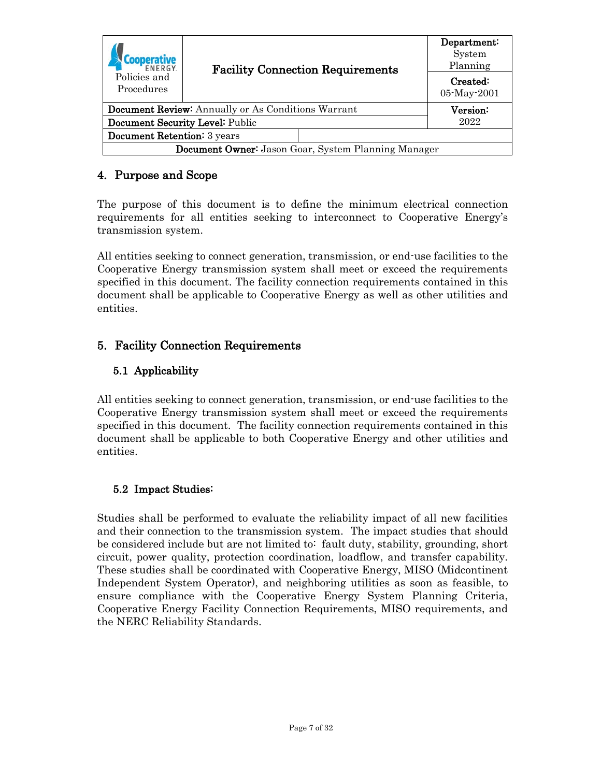<span id="page-6-2"></span>

| <b>FNFRGY</b>                                             |  | <b>Facility Connection Requirements</b> |                         |
|-----------------------------------------------------------|--|-----------------------------------------|-------------------------|
| Policies and<br>Procedures                                |  |                                         | Created:<br>05-May-2001 |
| <b>Document Review:</b> Annually or As Conditions Warrant |  | Version:                                |                         |
| Document Security Level: Public                           |  | 2022                                    |                         |
| <b>Document Retention:</b> 3 years                        |  |                                         |                         |
| Document Owner: Jason Goar, System Planning Manager       |  |                                         |                         |

# <span id="page-6-0"></span>4. Purpose and Scope

The purpose of this document is to define the minimum electrical connection requirements for all entities seeking to interconnect to Cooperative Energy's transmission system.

All entities seeking to connect generation, transmission, or end-use facilities to the Cooperative Energy transmission system shall meet or exceed the requirements specified in this document. The facility connection requirements contained in this document shall be applicable to Cooperative Energy as well as other utilities and entities.

# <span id="page-6-1"></span>5. Facility Connection Requirements

# 5.1 Applicability

All entities seeking to connect generation, transmission, or end-use facilities to the Cooperative Energy transmission system shall meet or exceed the requirements specified in this document. The facility connection requirements contained in this document shall be applicable to both Cooperative Energy and other utilities and entities.

#### <span id="page-6-3"></span>5.2 Impact Studies:

Studies shall be performed to evaluate the reliability impact of all new facilities and their connection to the transmission system. The impact studies that should be considered include but are not limited to: fault duty, stability, grounding, short circuit, power quality, protection coordination, loadflow, and transfer capability. These studies shall be coordinated with Cooperative Energy, MISO (Midcontinent Independent System Operator), and neighboring utilities as soon as feasible, to ensure compliance with the Cooperative Energy System Planning Criteria, Cooperative Energy Facility Connection Requirements, MISO requirements, and the NERC Reliability Standards.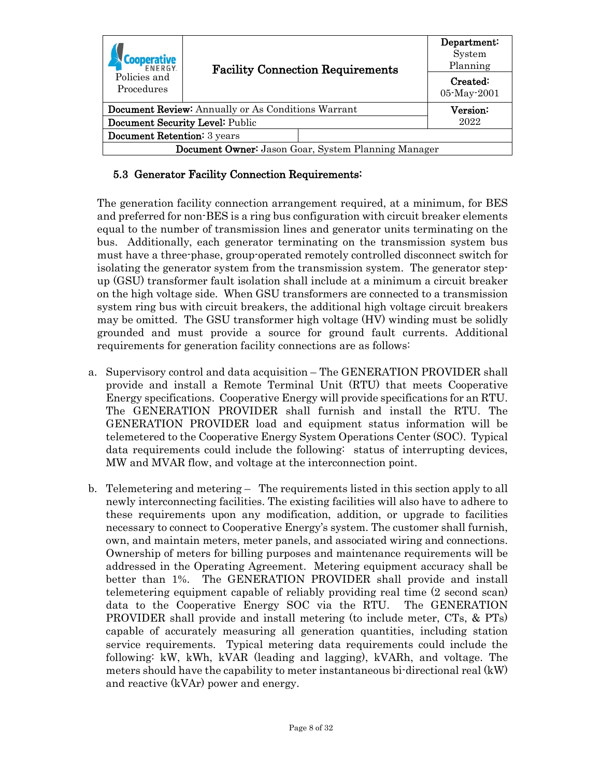| <b>FNFRGY</b>                                              | <b>Facility Connection Requirements</b>                   |      | Department:<br>System<br>Planning |
|------------------------------------------------------------|-----------------------------------------------------------|------|-----------------------------------|
| Policies and<br>Procedures                                 |                                                           |      | Created:<br>05-May-2001           |
|                                                            |                                                           |      |                                   |
|                                                            | <b>Document Review:</b> Annually or As Conditions Warrant |      | Version:                          |
| Document Security Level: Public                            |                                                           | 2022 |                                   |
| <b>Document Retention:</b> 3 years                         |                                                           |      |                                   |
| <b>Document Owner:</b> Jason Goar, System Planning Manager |                                                           |      |                                   |

#### <span id="page-7-0"></span>5.3 Generator Facility Connection Requirements:

The generation facility connection arrangement required, at a minimum, for BES and preferred for non-BES is a ring bus configuration with circuit breaker elements equal to the number of transmission lines and generator units terminating on the bus. Additionally, each generator terminating on the transmission system bus must have a three-phase, group-operated remotely controlled disconnect switch for isolating the generator system from the transmission system. The generator stepup (GSU) transformer fault isolation shall include at a minimum a circuit breaker on the high voltage side. When GSU transformers are connected to a transmission system ring bus with circuit breakers, the additional high voltage circuit breakers may be omitted. The GSU transformer high voltage (HV) winding must be solidly grounded and must provide a source for ground fault currents. Additional requirements for generation facility connections are as follows:

- a. Supervisory control and data acquisition The GENERATION PROVIDER shall provide and install a Remote Terminal Unit (RTU) that meets Cooperative Energy specifications. Cooperative Energy will provide specifications for an RTU. The GENERATION PROVIDER shall furnish and install the RTU. The GENERATION PROVIDER load and equipment status information will be telemetered to the Cooperative Energy System Operations Center (SOC). Typical data requirements could include the following: status of interrupting devices, MW and MVAR flow, and voltage at the interconnection point.
- b. Telemetering and metering The requirements listed in this section apply to all newly interconnecting facilities. The existing facilities will also have to adhere to these requirements upon any modification, addition, or upgrade to facilities necessary to connect to Cooperative Energy's system. The customer shall furnish, own, and maintain meters, meter panels, and associated wiring and connections. Ownership of meters for billing purposes and maintenance requirements will be addressed in the Operating Agreement. Metering equipment accuracy shall be better than 1%. The GENERATION PROVIDER shall provide and install telemetering equipment capable of reliably providing real time (2 second scan) data to the Cooperative Energy SOC via the RTU. The GENERATION PROVIDER shall provide and install metering (to include meter, CTs, & PTs) capable of accurately measuring all generation quantities, including station service requirements. Typical metering data requirements could include the following: kW, kWh, kVAR (leading and lagging), kVARh, and voltage. The meters should have the capability to meter instantaneous bi-directional real (kW) and reactive (kVAr) power and energy.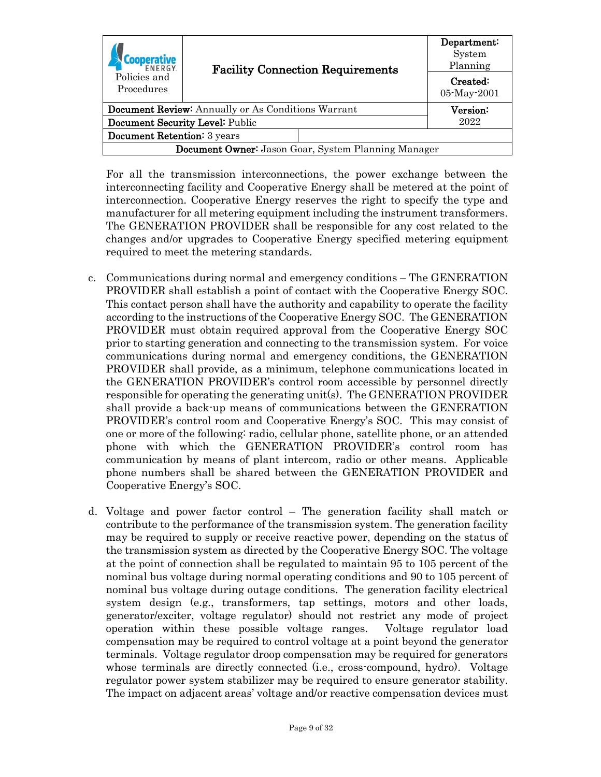|                                                            | <b>Facility Connection Requirements</b><br>Policies and<br>Procedures |               | Department:<br>System<br>Planning |
|------------------------------------------------------------|-----------------------------------------------------------------------|---------------|-----------------------------------|
|                                                            |                                                                       |               | Created:<br>05-May-2001           |
| <b>Document Review:</b> Annually or As Conditions Warrant  |                                                                       | $\rm Version$ |                                   |
| Document Security Level: Public                            |                                                                       | 2022          |                                   |
| <b>Document Retention:</b> 3 years                         |                                                                       |               |                                   |
| <b>Document Owner:</b> Jason Goar, System Planning Manager |                                                                       |               |                                   |

For all the transmission interconnections, the power exchange between the interconnecting facility and Cooperative Energy shall be metered at the point of interconnection. Cooperative Energy reserves the right to specify the type and manufacturer for all metering equipment including the instrument transformers. The GENERATION PROVIDER shall be responsible for any cost related to the changes and/or upgrades to Cooperative Energy specified metering equipment required to meet the metering standards.

- c. Communications during normal and emergency conditions The GENERATION PROVIDER shall establish a point of contact with the Cooperative Energy SOC. This contact person shall have the authority and capability to operate the facility according to the instructions of the Cooperative Energy SOC. The GENERATION PROVIDER must obtain required approval from the Cooperative Energy SOC prior to starting generation and connecting to the transmission system. For voice communications during normal and emergency conditions, the GENERATION PROVIDER shall provide, as a minimum, telephone communications located in the GENERATION PROVIDER's control room accessible by personnel directly responsible for operating the generating unit(s). The GENERATION PROVIDER shall provide a back-up means of communications between the GENERATION PROVIDER's control room and Cooperative Energy's SOC. This may consist of one or more of the following: radio, cellular phone, satellite phone, or an attended phone with which the GENERATION PROVIDER's control room has communication by means of plant intercom, radio or other means. Applicable phone numbers shall be shared between the GENERATION PROVIDER and Cooperative Energy's SOC.
- d. Voltage and power factor control The generation facility shall match or contribute to the performance of the transmission system. The generation facility may be required to supply or receive reactive power, depending on the status of the transmission system as directed by the Cooperative Energy SOC. The voltage at the point of connection shall be regulated to maintain 95 to 105 percent of the nominal bus voltage during normal operating conditions and 90 to 105 percent of nominal bus voltage during outage conditions. The generation facility electrical system design (e.g., transformers, tap settings, motors and other loads, generator/exciter, voltage regulator) should not restrict any mode of project operation within these possible voltage ranges. Voltage regulator load compensation may be required to control voltage at a point beyond the generator terminals. Voltage regulator droop compensation may be required for generators whose terminals are directly connected (i.e., cross-compound, hydro). Voltage regulator power system stabilizer may be required to ensure generator stability. The impact on adjacent areas' voltage and/or reactive compensation devices must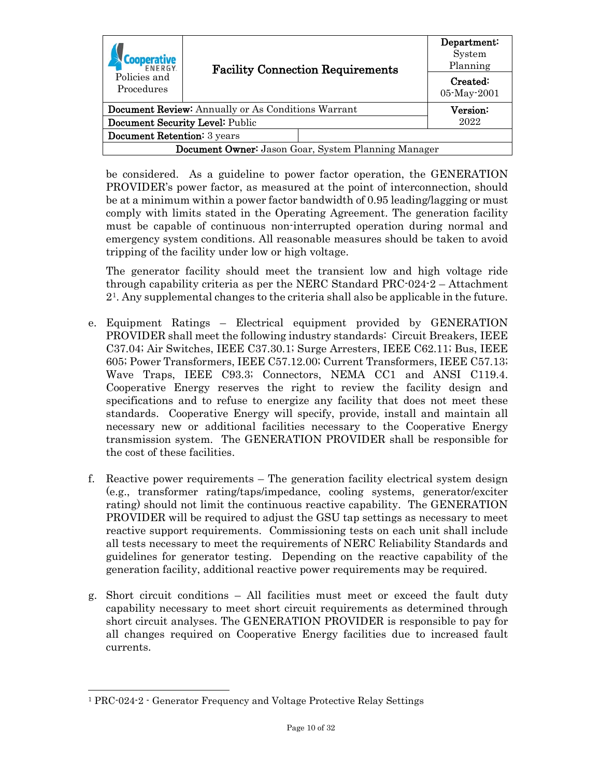| <b>FNFRGY</b>                                       |                                                           | <b>Facility Connection Requirements</b> |                         |
|-----------------------------------------------------|-----------------------------------------------------------|-----------------------------------------|-------------------------|
| Policies and<br>Procedures                          |                                                           |                                         | Created:<br>05-May-2001 |
|                                                     |                                                           |                                         |                         |
|                                                     | <b>Document Review:</b> Annually or As Conditions Warrant |                                         | Version:                |
| Document Security Level: Public                     |                                                           | 2022                                    |                         |
| <b>Document Retention:</b> 3 years                  |                                                           |                                         |                         |
| Document Owner: Jason Goar, System Planning Manager |                                                           |                                         |                         |

be considered. As a guideline to power factor operation, the GENERATION PROVIDER's power factor, as measured at the point of interconnection, should be at a minimum within a power factor bandwidth of 0.95 leading/lagging or must comply with limits stated in the Operating Agreement. The generation facility must be capable of continuous non-interrupted operation during normal and emergency system conditions. All reasonable measures should be taken to avoid tripping of the facility under low or high voltage.

The generator facility should meet the transient low and high voltage ride through capability criteria as per the NERC Standard PRC-024-2 – Attachment 2[1](#page-9-0). Any supplemental changes to the criteria shall also be applicable in the future.

- e. Equipment Ratings Electrical equipment provided by GENERATION PROVIDER shall meet the following industry standards: Circuit Breakers, IEEE C37.04; Air Switches, IEEE C37.30.1; Surge Arresters, IEEE C62.11; Bus, IEEE 605; Power Transformers, IEEE C57.12.00; Current Transformers, IEEE C57.13; Wave Traps, IEEE C93.3; Connectors, NEMA CC1 and ANSI C119.4. Cooperative Energy reserves the right to review the facility design and specifications and to refuse to energize any facility that does not meet these standards. Cooperative Energy will specify, provide, install and maintain all necessary new or additional facilities necessary to the Cooperative Energy transmission system. The GENERATION PROVIDER shall be responsible for the cost of these facilities.
- f. Reactive power requirements The generation facility electrical system design (e.g., transformer rating/taps/impedance, cooling systems, generator/exciter rating) should not limit the continuous reactive capability. The GENERATION PROVIDER will be required to adjust the GSU tap settings as necessary to meet reactive support requirements. Commissioning tests on each unit shall include all tests necessary to meet the requirements of NERC Reliability Standards and guidelines for generator testing. Depending on the reactive capability of the generation facility, additional reactive power requirements may be required.
- g. Short circuit conditions All facilities must meet or exceed the fault duty capability necessary to meet short circuit requirements as determined through short circuit analyses. The GENERATION PROVIDER is responsible to pay for all changes required on Cooperative Energy facilities due to increased fault currents.

<span id="page-9-0"></span> <sup>1</sup> PRC-024-2 - Generator Frequency and Voltage Protective Relay Settings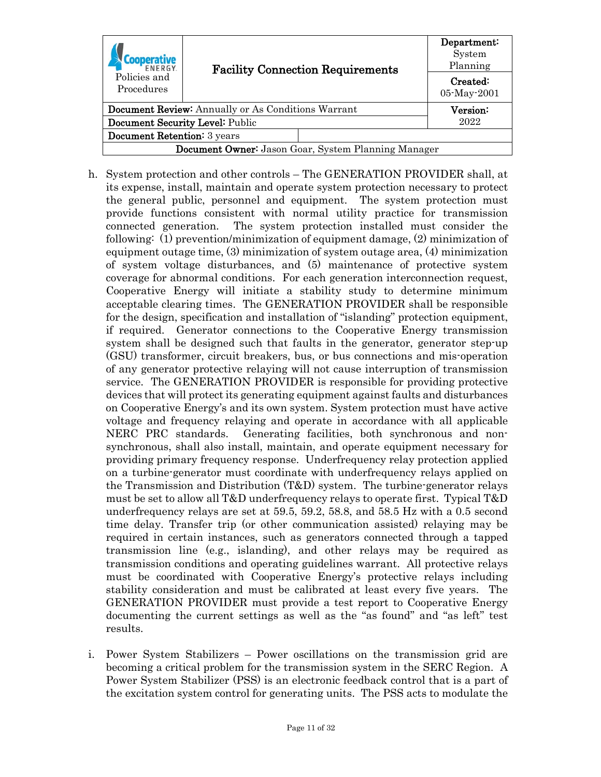| ENERGY                                                    |  | <b>Facility Connection Requirements</b>                    |      |
|-----------------------------------------------------------|--|------------------------------------------------------------|------|
| Policies and<br>Procedures                                |  |                                                            |      |
| <b>Document Review:</b> Annually or As Conditions Warrant |  | $\rm Version$ :                                            |      |
| Document Security Level: Public                           |  |                                                            | 2022 |
| Document Retention: 3 years                               |  |                                                            |      |
|                                                           |  | <b>Document Owner:</b> Jason Goar, System Planning Manager |      |

- h. System protection and other controls The GENERATION PROVIDER shall, at its expense, install, maintain and operate system protection necessary to protect the general public, personnel and equipment. The system protection must provide functions consistent with normal utility practice for transmission connected generation. The system protection installed must consider the following: (1) prevention/minimization of equipment damage, (2) minimization of equipment outage time, (3) minimization of system outage area, (4) minimization of system voltage disturbances, and (5) maintenance of protective system coverage for abnormal conditions. For each generation interconnection request, Cooperative Energy will initiate a stability study to determine minimum acceptable clearing times. The GENERATION PROVIDER shall be responsible for the design, specification and installation of "islanding" protection equipment, if required. Generator connections to the Cooperative Energy transmission system shall be designed such that faults in the generator, generator step-up (GSU) transformer, circuit breakers, bus, or bus connections and mis-operation of any generator protective relaying will not cause interruption of transmission service. The GENERATION PROVIDER is responsible for providing protective devices that will protect its generating equipment against faults and disturbances on Cooperative Energy's and its own system. System protection must have active voltage and frequency relaying and operate in accordance with all applicable NERC PRC standards. Generating facilities, both synchronous and nonsynchronous, shall also install, maintain, and operate equipment necessary for providing primary frequency response. Underfrequency relay protection applied on a turbine-generator must coordinate with underfrequency relays applied on the Transmission and Distribution (T&D) system. The turbine-generator relays must be set to allow all T&D underfrequency relays to operate first. Typical T&D underfrequency relays are set at 59.5, 59.2, 58.8, and 58.5 Hz with a 0.5 second time delay. Transfer trip (or other communication assisted) relaying may be required in certain instances, such as generators connected through a tapped transmission line (e.g., islanding), and other relays may be required as transmission conditions and operating guidelines warrant. All protective relays must be coordinated with Cooperative Energy's protective relays including stability consideration and must be calibrated at least every five years. The GENERATION PROVIDER must provide a test report to Cooperative Energy documenting the current settings as well as the "as found" and "as left" test results.
- i. Power System Stabilizers Power oscillations on the transmission grid are becoming a critical problem for the transmission system in the SERC Region. A Power System Stabilizer (PSS) is an electronic feedback control that is a part of the excitation system control for generating units. The PSS acts to modulate the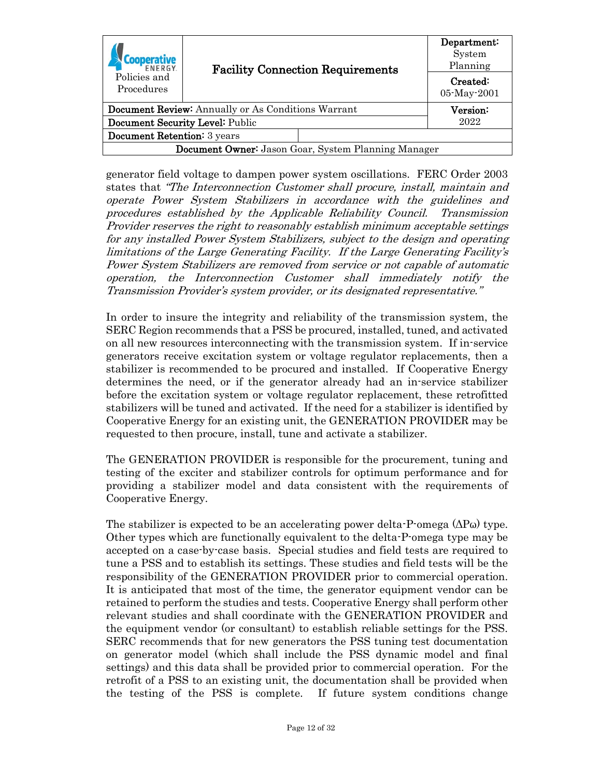| <b>FNFRGY</b>                                              |  | <b>Facility Connection Requirements</b> |                         |
|------------------------------------------------------------|--|-----------------------------------------|-------------------------|
| Policies and<br>Procedures                                 |  |                                         | Created:<br>05-May-2001 |
| <b>Document Review:</b> Annually or As Conditions Warrant  |  | $\rm Version$                           |                         |
| Document Security Level: Public                            |  | 2022                                    |                         |
| <b>Document Retention:</b> 3 years                         |  |                                         |                         |
| <b>Document Owner:</b> Jason Goar, System Planning Manager |  |                                         |                         |

generator field voltage to dampen power system oscillations. FERC Order 2003 states that "The Interconnection Customer shall procure, install, maintain and operate Power System Stabilizers in accordance with the guidelines and procedures established by the Applicable Reliability Council. Transmission Provider reserves the right to reasonably establish minimum acceptable settings for any installed Power System Stabilizers, subject to the design and operating limitations of the Large Generating Facility. If the Large Generating Facility's Power System Stabilizers are removed from service or not capable of automatic operation, the Interconnection Customer shall immediately notify the Transmission Provider's system provider, or its designated representative."

In order to insure the integrity and reliability of the transmission system, the SERC Region recommends that a PSS be procured, installed, tuned, and activated on all new resources interconnecting with the transmission system. If in-service generators receive excitation system or voltage regulator replacements, then a stabilizer is recommended to be procured and installed. If Cooperative Energy determines the need, or if the generator already had an in-service stabilizer before the excitation system or voltage regulator replacement, these retrofitted stabilizers will be tuned and activated. If the need for a stabilizer is identified by Cooperative Energy for an existing unit, the GENERATION PROVIDER may be requested to then procure, install, tune and activate a stabilizer.

The GENERATION PROVIDER is responsible for the procurement, tuning and testing of the exciter and stabilizer controls for optimum performance and for providing a stabilizer model and data consistent with the requirements of Cooperative Energy.

The stabilizer is expected to be an accelerating power delta-P-omega  $(\Delta P\omega)$  type. Other types which are functionally equivalent to the delta-P-omega type may be accepted on a case-by-case basis. Special studies and field tests are required to tune a PSS and to establish its settings. These studies and field tests will be the responsibility of the GENERATION PROVIDER prior to commercial operation. It is anticipated that most of the time, the generator equipment vendor can be retained to perform the studies and tests. Cooperative Energy shall perform other relevant studies and shall coordinate with the GENERATION PROVIDER and the equipment vendor (or consultant) to establish reliable settings for the PSS. SERC recommends that for new generators the PSS tuning test documentation on generator model (which shall include the PSS dynamic model and final settings) and this data shall be provided prior to commercial operation. For the retrofit of a PSS to an existing unit, the documentation shall be provided when the testing of the PSS is complete. If future system conditions change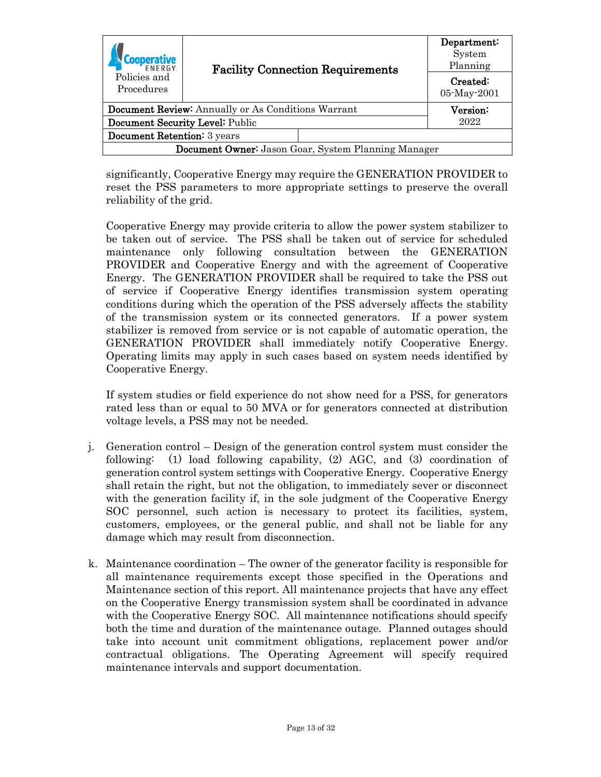| <b>FNFRGY</b>                                              | <b>Facility Connection Requirements</b> |          | Department:<br>System<br>Planning |
|------------------------------------------------------------|-----------------------------------------|----------|-----------------------------------|
| Policies and<br>Procedures                                 |                                         |          | Created:                          |
|                                                            |                                         |          | 05-May-2001                       |
| <b>Document Review:</b> Annually or As Conditions Warrant  |                                         | Version: |                                   |
| Document Security Level: Public                            |                                         |          | 2022                              |
| <b>Document Retention:</b> 3 years                         |                                         |          |                                   |
| <b>Document Owner:</b> Jason Goar, System Planning Manager |                                         |          |                                   |

significantly, Cooperative Energy may require the GENERATION PROVIDER to reset the PSS parameters to more appropriate settings to preserve the overall reliability of the grid.

Cooperative Energy may provide criteria to allow the power system stabilizer to be taken out of service. The PSS shall be taken out of service for scheduled maintenance only following consultation between the GENERATION PROVIDER and Cooperative Energy and with the agreement of Cooperative Energy. The GENERATION PROVIDER shall be required to take the PSS out of service if Cooperative Energy identifies transmission system operating conditions during which the operation of the PSS adversely affects the stability of the transmission system or its connected generators. If a power system stabilizer is removed from service or is not capable of automatic operation, the GENERATION PROVIDER shall immediately notify Cooperative Energy. Operating limits may apply in such cases based on system needs identified by Cooperative Energy.

If system studies or field experience do not show need for a PSS, for generators rated less than or equal to 50 MVA or for generators connected at distribution voltage levels, a PSS may not be needed.

- j. Generation control Design of the generation control system must consider the following: (1) load following capability, (2) AGC, and (3) coordination of generation control system settings with Cooperative Energy. Cooperative Energy shall retain the right, but not the obligation, to immediately sever or disconnect with the generation facility if, in the sole judgment of the Cooperative Energy SOC personnel, such action is necessary to protect its facilities, system, customers, employees, or the general public, and shall not be liable for any damage which may result from disconnection.
- k. Maintenance coordination The owner of the generator facility is responsible for all maintenance requirements except those specified in the Operations and Maintenance section of this report. All maintenance projects that have any effect on the Cooperative Energy transmission system shall be coordinated in advance with the Cooperative Energy SOC. All maintenance notifications should specify both the time and duration of the maintenance outage. Planned outages should take into account unit commitment obligations, replacement power and/or contractual obligations. The Operating Agreement will specify required maintenance intervals and support documentation.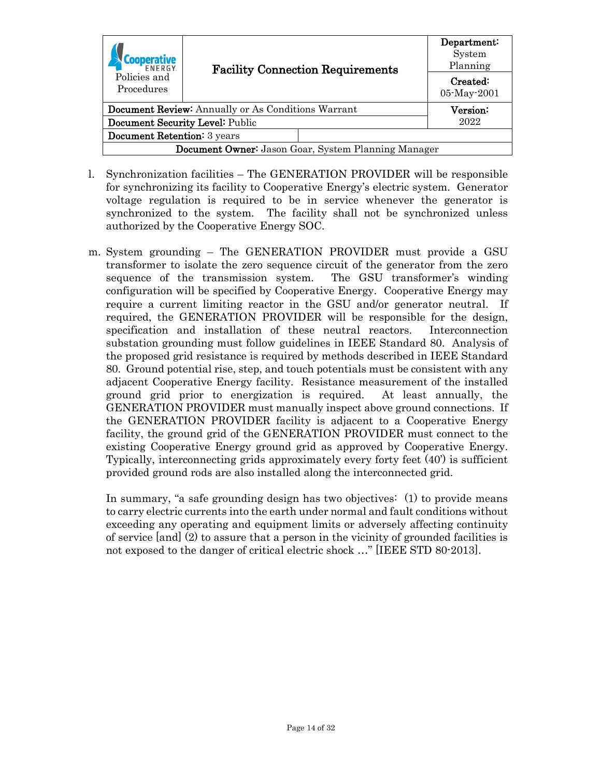| <b>FNFRGY</b>                                              |                                 | <b>Facility Connection Requirements</b> | Department:<br>System<br>Planning |
|------------------------------------------------------------|---------------------------------|-----------------------------------------|-----------------------------------|
| Policies and<br>Procedures                                 |                                 |                                         |                                   |
| <b>Document Review:</b> Annually or As Conditions Warrant  |                                 | Version:                                |                                   |
|                                                            | Document Security Level: Public |                                         | 2022                              |
| <b>Document Retention:</b> 3 years                         |                                 |                                         |                                   |
| <b>Document Owner:</b> Jason Goar, System Planning Manager |                                 |                                         |                                   |

- l. Synchronization facilities The GENERATION PROVIDER will be responsible for synchronizing its facility to Cooperative Energy's electric system. Generator voltage regulation is required to be in service whenever the generator is synchronized to the system. The facility shall not be synchronized unless authorized by the Cooperative Energy SOC.
- m. System grounding The GENERATION PROVIDER must provide a GSU transformer to isolate the zero sequence circuit of the generator from the zero sequence of the transmission system. The GSU transformer's winding configuration will be specified by Cooperative Energy. Cooperative Energy may require a current limiting reactor in the GSU and/or generator neutral. If required, the GENERATION PROVIDER will be responsible for the design, specification and installation of these neutral reactors. Interconnection substation grounding must follow guidelines in IEEE Standard 80. Analysis of the proposed grid resistance is required by methods described in IEEE Standard 80. Ground potential rise, step, and touch potentials must be consistent with any adjacent Cooperative Energy facility. Resistance measurement of the installed ground grid prior to energization is required. At least annually, the GENERATION PROVIDER must manually inspect above ground connections. If the GENERATION PROVIDER facility is adjacent to a Cooperative Energy facility, the ground grid of the GENERATION PROVIDER must connect to the existing Cooperative Energy ground grid as approved by Cooperative Energy. Typically, interconnecting grids approximately every forty feet (40') is sufficient provided ground rods are also installed along the interconnected grid.

In summary, "a safe grounding design has two objectives: (1) to provide means to carry electric currents into the earth under normal and fault conditions without exceeding any operating and equipment limits or adversely affecting continuity of service [and] (2) to assure that a person in the vicinity of grounded facilities is not exposed to the danger of critical electric shock …" [IEEE STD 80-2013].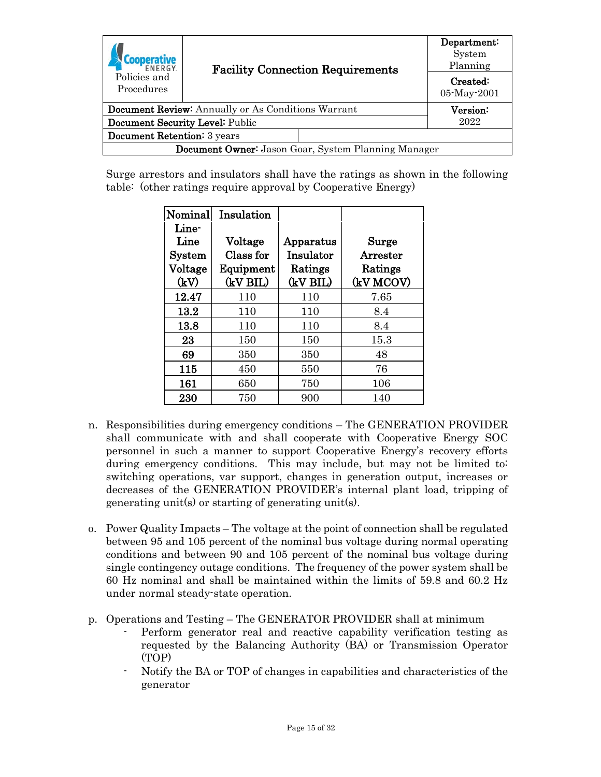| ENERGY                             | <b>Facility Connection Requirements</b>                    |                         |
|------------------------------------|------------------------------------------------------------|-------------------------|
| Policies and<br>Procedures         |                                                            | Created:<br>05-May-2001 |
|                                    | <b>Document Review:</b> Annually or As Conditions Warrant  | Version:                |
|                                    |                                                            |                         |
|                                    | Document Security Level: Public                            | 2022                    |
| <b>Document Retention:</b> 3 years |                                                            |                         |
|                                    | <b>Document Owner:</b> Jason Goar, System Planning Manager |                         |

Surge arrestors and insulators shall have the ratings as shown in the following table: (other ratings require approval by Cooperative Energy)

| Nominal                      | Insulation |           |           |
|------------------------------|------------|-----------|-----------|
| Line-                        |            |           |           |
| $\mathop{\rm Line}\nolimits$ | Voltage    | Apparatus | Surge     |
| $S$ ystem                    | Class for  | Insulator | Arrester  |
| Voltage                      | Equipment  | Ratings   | Ratings   |
| (kV)                         | (kV BIL)   | (kV BIL)  | (kV MCOV) |
| 12.47                        | 110        | 110       | 7.65      |
| 13.2                         | 110        | 110       | 8.4       |
| 13.8                         | 110        | 110       | 8.4       |
| 23                           | 150        | 150       | 15.3      |
| 69                           | 350        | 350       | 48        |
| 115                          | 450        | 550       | 76        |
| 161                          | 650        | 750       | 106       |
| 230                          | 750        | 900       | 140       |

- n. Responsibilities during emergency conditions The GENERATION PROVIDER shall communicate with and shall cooperate with Cooperative Energy SOC personnel in such a manner to support Cooperative Energy's recovery efforts during emergency conditions. This may include, but may not be limited to: switching operations, var support, changes in generation output, increases or decreases of the GENERATION PROVIDER's internal plant load, tripping of generating unit(s) or starting of generating unit(s).
- o. Power Quality Impacts The voltage at the point of connection shall be regulated between 95 and 105 percent of the nominal bus voltage during normal operating conditions and between 90 and 105 percent of the nominal bus voltage during single contingency outage conditions. The frequency of the power system shall be 60 Hz nominal and shall be maintained within the limits of 59.8 and 60.2 Hz under normal steady-state operation.
- p. Operations and Testing The GENERATOR PROVIDER shall at minimum
	- Perform generator real and reactive capability verification testing as requested by the Balancing Authority (BA) or Transmission Operator (TOP)
	- Notify the BA or TOP of changes in capabilities and characteristics of the generator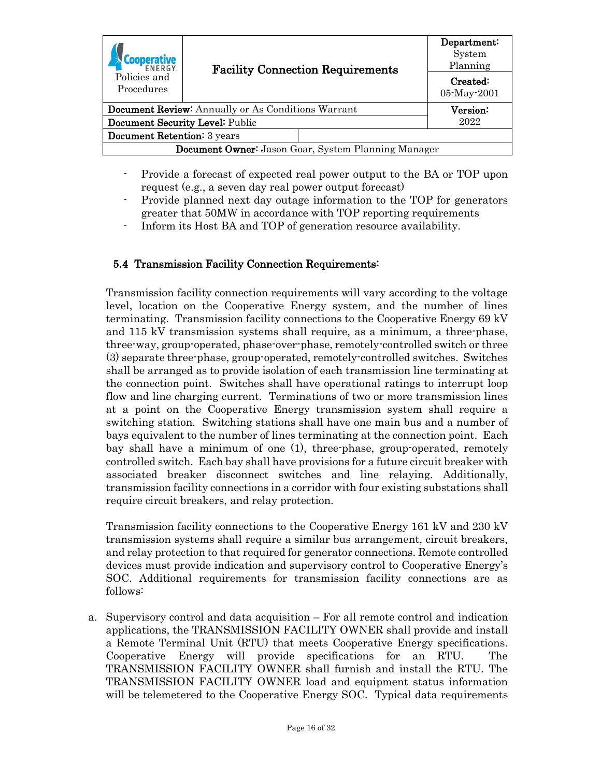| <b>FNFRGY</b><br><b>Facility Connection Requirements</b><br>Policies and<br>Procedures |  | Department:<br>System<br>Planning |
|----------------------------------------------------------------------------------------|--|-----------------------------------|
|                                                                                        |  | Created:<br>05-May-2001           |
| <b>Document Review:</b> Annually or As Conditions Warrant                              |  | Version:                          |
| Document Security Level: Public                                                        |  | 2022                              |
| Document Retention: 3 years                                                            |  |                                   |
| <b>Document Owner:</b> Jason Goar, System Planning Manager                             |  |                                   |

- Provide a forecast of expected real power output to the BA or TOP upon request (e.g., a seven day real power output forecast)
- Provide planned next day outage information to the TOP for generators greater that 50MW in accordance with TOP reporting requirements
- Inform its Host BA and TOP of generation resource availability.

### <span id="page-15-0"></span>5.4 Transmission Facility Connection Requirements:

Transmission facility connection requirements will vary according to the voltage level, location on the Cooperative Energy system, and the number of lines terminating. Transmission facility connections to the Cooperative Energy 69 kV and 115 kV transmission systems shall require, as a minimum, a three-phase, three-way, group-operated, phase-over-phase, remotely-controlled switch or three (3) separate three-phase, group-operated, remotely-controlled switches. Switches shall be arranged as to provide isolation of each transmission line terminating at the connection point. Switches shall have operational ratings to interrupt loop flow and line charging current. Terminations of two or more transmission lines at a point on the Cooperative Energy transmission system shall require a switching station. Switching stations shall have one main bus and a number of bays equivalent to the number of lines terminating at the connection point. Each bay shall have a minimum of one (1), three-phase, group-operated, remotely controlled switch. Each bay shall have provisions for a future circuit breaker with associated breaker disconnect switches and line relaying. Additionally, transmission facility connections in a corridor with four existing substations shall require circuit breakers, and relay protection.

Transmission facility connections to the Cooperative Energy 161 kV and 230 kV transmission systems shall require a similar bus arrangement, circuit breakers, and relay protection to that required for generator connections. Remote controlled devices must provide indication and supervisory control to Cooperative Energy's SOC. Additional requirements for transmission facility connections are as follows:

a. Supervisory control and data acquisition – For all remote control and indication applications, the TRANSMISSION FACILITY OWNER shall provide and install a Remote Terminal Unit (RTU) that meets Cooperative Energy specifications. Cooperative Energy will provide specifications for an RTU. The TRANSMISSION FACILITY OWNER shall furnish and install the RTU. The TRANSMISSION FACILITY OWNER load and equipment status information will be telemetered to the Cooperative Energy SOC. Typical data requirements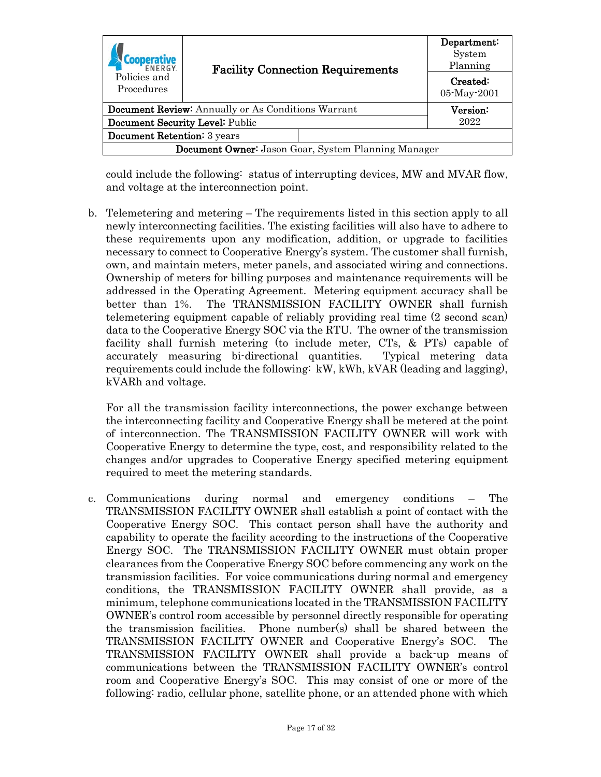| <b>FNFRGY</b><br>Policies and<br>Procedures                | <b>Facility Connection Requirements</b> | Department:<br>System<br>Planning |
|------------------------------------------------------------|-----------------------------------------|-----------------------------------|
|                                                            |                                         | Created:<br>05-May-2001           |
| <b>Document Review:</b> Annually or As Conditions Warrant  |                                         | Version:                          |
| Document Security Level: Public                            |                                         | 2022                              |
| <b>Document Retention:</b> 3 years                         |                                         |                                   |
| <b>Document Owner:</b> Jason Goar, System Planning Manager |                                         |                                   |

could include the following: status of interrupting devices, MW and MVAR flow, and voltage at the interconnection point.

b. Telemetering and metering – The requirements listed in this section apply to all newly interconnecting facilities. The existing facilities will also have to adhere to these requirements upon any modification, addition, or upgrade to facilities necessary to connect to Cooperative Energy's system. The customer shall furnish, own, and maintain meters, meter panels, and associated wiring and connections. Ownership of meters for billing purposes and maintenance requirements will be addressed in the Operating Agreement. Metering equipment accuracy shall be better than 1%. The TRANSMISSION FACILITY OWNER shall furnish telemetering equipment capable of reliably providing real time (2 second scan) data to the Cooperative Energy SOC via the RTU. The owner of the transmission facility shall furnish metering (to include meter, CTs, & PTs) capable of accurately measuring bi-directional quantities. Typical metering data requirements could include the following: kW, kWh, kVAR (leading and lagging), kVARh and voltage.

For all the transmission facility interconnections, the power exchange between the interconnecting facility and Cooperative Energy shall be metered at the point of interconnection. The TRANSMISSION FACILITY OWNER will work with Cooperative Energy to determine the type, cost, and responsibility related to the changes and/or upgrades to Cooperative Energy specified metering equipment required to meet the metering standards.

c. Communications during normal and emergency conditions – The TRANSMISSION FACILITY OWNER shall establish a point of contact with the Cooperative Energy SOC. This contact person shall have the authority and capability to operate the facility according to the instructions of the Cooperative Energy SOC. The TRANSMISSION FACILITY OWNER must obtain proper clearances from the Cooperative Energy SOC before commencing any work on the transmission facilities. For voice communications during normal and emergency conditions, the TRANSMISSION FACILITY OWNER shall provide, as a minimum, telephone communications located in the TRANSMISSION FACILITY OWNER's control room accessible by personnel directly responsible for operating the transmission facilities. Phone number(s) shall be shared between the TRANSMISSION FACILITY OWNER and Cooperative Energy's SOC. The TRANSMISSION FACILITY OWNER shall provide a back-up means of communications between the TRANSMISSION FACILITY OWNER's control room and Cooperative Energy's SOC. This may consist of one or more of the following: radio, cellular phone, satellite phone, or an attended phone with which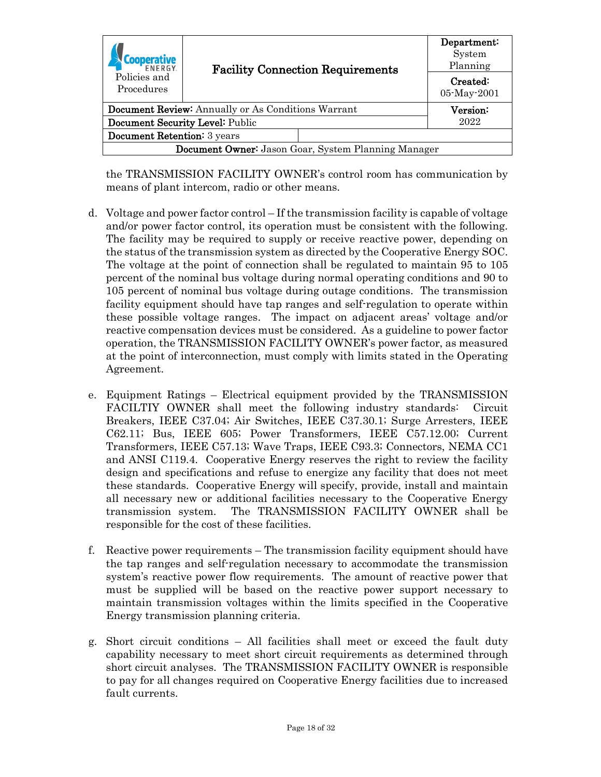| <b>FNFRGY</b><br>Policies and<br>Procedures                | <b>Facility Connection Requirements</b> | Department:<br>System<br>Planning |
|------------------------------------------------------------|-----------------------------------------|-----------------------------------|
|                                                            |                                         | Created:<br>05-May-2001           |
| <b>Document Review:</b> Annually or As Conditions Warrant  |                                         | Version:                          |
| Document Security Level: Public                            |                                         | 2022                              |
| <b>Document Retention:</b> 3 years                         |                                         |                                   |
| <b>Document Owner:</b> Jason Goar, System Planning Manager |                                         |                                   |

the TRANSMISSION FACILITY OWNER's control room has communication by means of plant intercom, radio or other means.

- d. Voltage and power factor control If the transmission facility is capable of voltage and/or power factor control, its operation must be consistent with the following. The facility may be required to supply or receive reactive power, depending on the status of the transmission system as directed by the Cooperative Energy SOC. The voltage at the point of connection shall be regulated to maintain 95 to 105 percent of the nominal bus voltage during normal operating conditions and 90 to 105 percent of nominal bus voltage during outage conditions. The transmission facility equipment should have tap ranges and self-regulation to operate within these possible voltage ranges. The impact on adjacent areas' voltage and/or reactive compensation devices must be considered. As a guideline to power factor operation, the TRANSMISSION FACILITY OWNER's power factor, as measured at the point of interconnection, must comply with limits stated in the Operating Agreement.
- e. Equipment Ratings Electrical equipment provided by the TRANSMISSION FACILTIY OWNER shall meet the following industry standards: Circuit Breakers, IEEE C37.04; Air Switches, IEEE C37.30.1; Surge Arresters, IEEE C62.11; Bus, IEEE 605; Power Transformers, IEEE C57.12.00; Current Transformers, IEEE C57.13; Wave Traps, IEEE C93.3; Connectors, NEMA CC1 and ANSI C119.4. Cooperative Energy reserves the right to review the facility design and specifications and refuse to energize any facility that does not meet these standards. Cooperative Energy will specify, provide, install and maintain all necessary new or additional facilities necessary to the Cooperative Energy transmission system. The TRANSMISSION FACILITY OWNER shall be responsible for the cost of these facilities.
- f. Reactive power requirements The transmission facility equipment should have the tap ranges and self-regulation necessary to accommodate the transmission system's reactive power flow requirements. The amount of reactive power that must be supplied will be based on the reactive power support necessary to maintain transmission voltages within the limits specified in the Cooperative Energy transmission planning criteria.
- g. Short circuit conditions All facilities shall meet or exceed the fault duty capability necessary to meet short circuit requirements as determined through short circuit analyses. The TRANSMISSION FACILITY OWNER is responsible to pay for all changes required on Cooperative Energy facilities due to increased fault currents.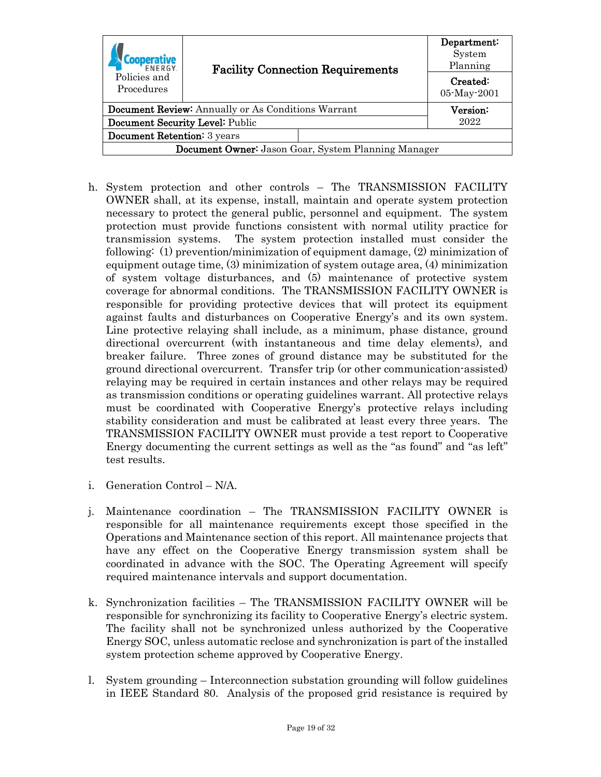|                                                            | <b>Facility Connection Requirements</b> |               | Department:<br>System<br>Planning |
|------------------------------------------------------------|-----------------------------------------|---------------|-----------------------------------|
| Policies and<br>Procedures                                 |                                         |               | Created:<br>05-May-2001           |
| <b>Document Review:</b> Annually or As Conditions Warrant  |                                         | $\rm Version$ |                                   |
| Document Security Level: Public                            |                                         | 2022          |                                   |
| <b>Document Retention:</b> 3 years                         |                                         |               |                                   |
| <b>Document Owner:</b> Jason Goar, System Planning Manager |                                         |               |                                   |

- h. System protection and other controls The TRANSMISSION FACILITY OWNER shall, at its expense, install, maintain and operate system protection necessary to protect the general public, personnel and equipment. The system protection must provide functions consistent with normal utility practice for transmission systems. The system protection installed must consider the following: (1) prevention/minimization of equipment damage, (2) minimization of equipment outage time, (3) minimization of system outage area, (4) minimization of system voltage disturbances, and (5) maintenance of protective system coverage for abnormal conditions. The TRANSMISSION FACILITY OWNER is responsible for providing protective devices that will protect its equipment against faults and disturbances on Cooperative Energy's and its own system. Line protective relaying shall include, as a minimum, phase distance, ground directional overcurrent (with instantaneous and time delay elements), and breaker failure. Three zones of ground distance may be substituted for the ground directional overcurrent. Transfer trip (or other communication-assisted) relaying may be required in certain instances and other relays may be required as transmission conditions or operating guidelines warrant. All protective relays must be coordinated with Cooperative Energy's protective relays including stability consideration and must be calibrated at least every three years. The TRANSMISSION FACILITY OWNER must provide a test report to Cooperative Energy documenting the current settings as well as the "as found" and "as left" test results.
- i. Generation Control N/A.
- j. Maintenance coordination The TRANSMISSION FACILITY OWNER is responsible for all maintenance requirements except those specified in the Operations and Maintenance section of this report. All maintenance projects that have any effect on the Cooperative Energy transmission system shall be coordinated in advance with the SOC. The Operating Agreement will specify required maintenance intervals and support documentation.
- k. Synchronization facilities The TRANSMISSION FACILITY OWNER will be responsible for synchronizing its facility to Cooperative Energy's electric system. The facility shall not be synchronized unless authorized by the Cooperative Energy SOC, unless automatic reclose and synchronization is part of the installed system protection scheme approved by Cooperative Energy.
- l. System grounding Interconnection substation grounding will follow guidelines in IEEE Standard 80. Analysis of the proposed grid resistance is required by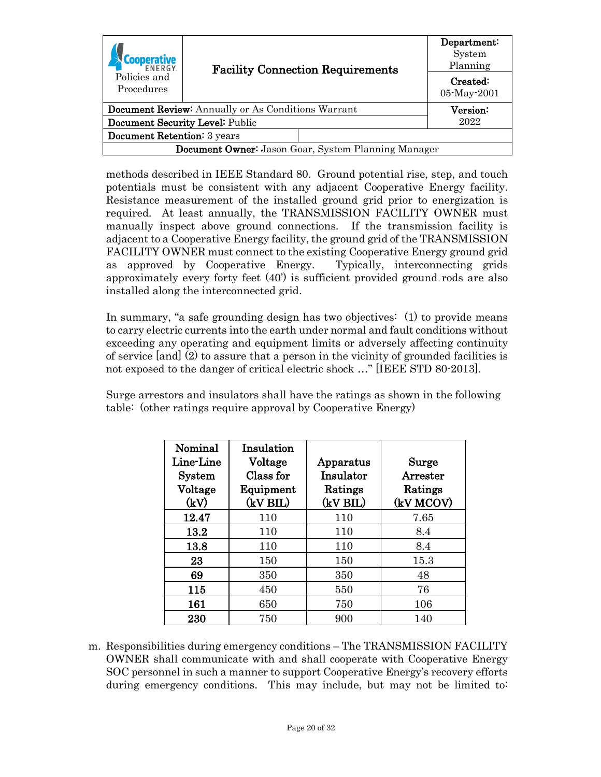| <b>FNFRGY</b>                                              | <b>Facility Connection Requirements</b> |               | Department:<br>System<br>Planning |
|------------------------------------------------------------|-----------------------------------------|---------------|-----------------------------------|
| Policies and<br>Procedures                                 |                                         |               | Created:<br>05-May-2001           |
| <b>Document Review:</b> Annually or As Conditions Warrant  |                                         | $\rm Version$ |                                   |
| Document Security Level: Public                            |                                         | 2022          |                                   |
| <b>Document Retention:</b> 3 years                         |                                         |               |                                   |
| <b>Document Owner:</b> Jason Goar, System Planning Manager |                                         |               |                                   |

methods described in IEEE Standard 80. Ground potential rise, step, and touch potentials must be consistent with any adjacent Cooperative Energy facility. Resistance measurement of the installed ground grid prior to energization is required. At least annually, the TRANSMISSION FACILITY OWNER must manually inspect above ground connections. If the transmission facility is adjacent to a Cooperative Energy facility, the ground grid of the TRANSMISSION FACILITY OWNER must connect to the existing Cooperative Energy ground grid as approved by Cooperative Energy. Typically, interconnecting grids approximately every forty feet (40') is sufficient provided ground rods are also installed along the interconnected grid.

In summary, "a safe grounding design has two objectives: (1) to provide means to carry electric currents into the earth under normal and fault conditions without exceeding any operating and equipment limits or adversely affecting continuity of service [and] (2) to assure that a person in the vicinity of grounded facilities is not exposed to the danger of critical electric shock …" [IEEE STD 80-2013].

Surge arrestors and insulators shall have the ratings as shown in the following table: (other ratings require approval by Cooperative Energy)

| Nominal<br>Line-Line<br><b>System</b> | Insulation<br>Voltage<br>Class for | Apparatus<br>Insulator | Surge<br>Arrester    |
|---------------------------------------|------------------------------------|------------------------|----------------------|
| Voltage<br>(kV)                       | Equipment<br>(kV BIL)              | Ratings<br>(kV BIL)    | Ratings<br>(kV MCOV) |
| 12.47                                 | 110                                | 110                    | 7.65                 |
| 13.2                                  | 110                                | 110                    | 8.4                  |
| 13.8                                  | 110                                | 110                    | 8.4                  |
| 23                                    | 150                                | 150                    | 15.3                 |
| 69                                    | 350                                | 350                    | 48                   |
| 115                                   | 450                                | 550                    | 76                   |
| 161                                   | 650                                | 750                    | 106                  |
| 230                                   | 750                                | 900                    | 140                  |

m. Responsibilities during emergency conditions – The TRANSMISSION FACILITY OWNER shall communicate with and shall cooperate with Cooperative Energy SOC personnel in such a manner to support Cooperative Energy's recovery efforts during emergency conditions. This may include, but may not be limited to: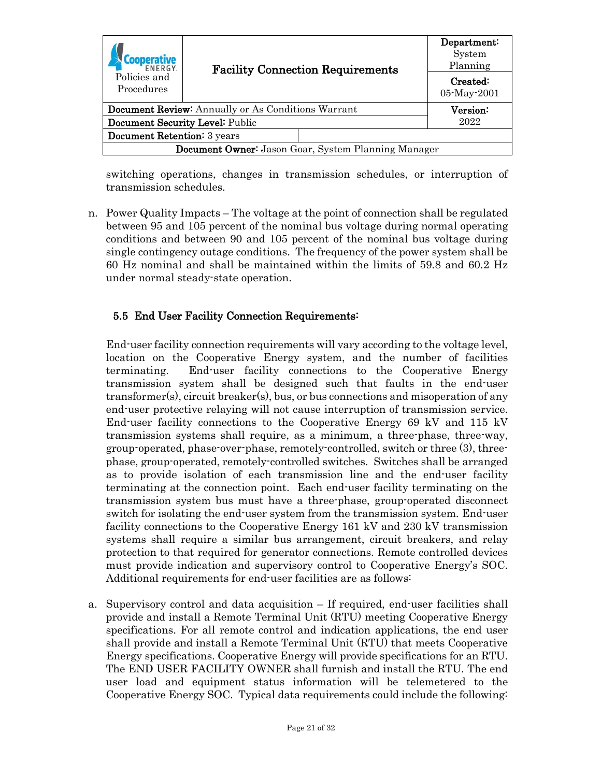|                                                            | <b>Facility Connection Requirements</b> | Department:<br>System<br>Planning |  |  |
|------------------------------------------------------------|-----------------------------------------|-----------------------------------|--|--|
| Policies and<br>Procedures                                 |                                         | Created:<br>05-May-2001           |  |  |
| <b>Document Review:</b> Annually or As Conditions Warrant  |                                         | Version:                          |  |  |
| Document Security Level: Public                            |                                         | 2022                              |  |  |
| <b>Document Retention:</b> 3 years                         |                                         |                                   |  |  |
| <b>Document Owner:</b> Jason Goar, System Planning Manager |                                         |                                   |  |  |

switching operations, changes in transmission schedules, or interruption of transmission schedules.

n. Power Quality Impacts – The voltage at the point of connection shall be regulated between 95 and 105 percent of the nominal bus voltage during normal operating conditions and between 90 and 105 percent of the nominal bus voltage during single contingency outage conditions. The frequency of the power system shall be 60 Hz nominal and shall be maintained within the limits of 59.8 and 60.2 Hz under normal steady-state operation.

#### <span id="page-20-0"></span>5.5 End User Facility Connection Requirements:

End-user facility connection requirements will vary according to the voltage level, location on the Cooperative Energy system, and the number of facilities terminating. End-user facility connections to the Cooperative Energy transmission system shall be designed such that faults in the end-user transformer(s), circuit breaker(s), bus, or bus connections and misoperation of any end-user protective relaying will not cause interruption of transmission service. End-user facility connections to the Cooperative Energy 69 kV and 115 kV transmission systems shall require, as a minimum, a three-phase, three-way, group-operated, phase-over-phase, remotely-controlled, switch or three (3), threephase, group-operated, remotely-controlled switches. Switches shall be arranged as to provide isolation of each transmission line and the end-user facility terminating at the connection point. Each end-user facility terminating on the transmission system bus must have a three-phase, group-operated disconnect switch for isolating the end-user system from the transmission system. End-user facility connections to the Cooperative Energy 161 kV and 230 kV transmission systems shall require a similar bus arrangement, circuit breakers, and relay protection to that required for generator connections. Remote controlled devices must provide indication and supervisory control to Cooperative Energy's SOC. Additional requirements for end-user facilities are as follows:

a. Supervisory control and data acquisition – If required, end-user facilities shall provide and install a Remote Terminal Unit (RTU) meeting Cooperative Energy specifications. For all remote control and indication applications, the end user shall provide and install a Remote Terminal Unit (RTU) that meets Cooperative Energy specifications. Cooperative Energy will provide specifications for an RTU. The END USER FACILITY OWNER shall furnish and install the RTU. The end user load and equipment status information will be telemetered to the Cooperative Energy SOC. Typical data requirements could include the following: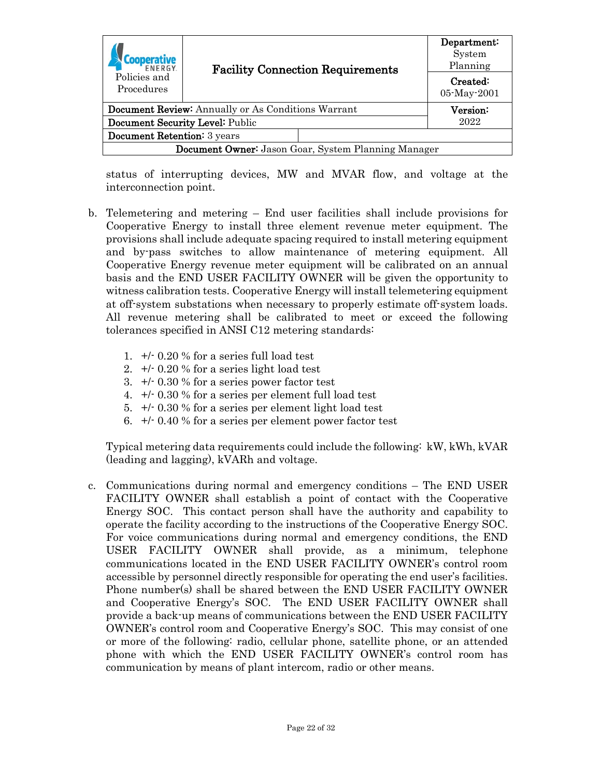| <b>FNFRGY</b>                                              | <b>Facility Connection Requirements</b> |          | Department:<br>System<br>Planning |
|------------------------------------------------------------|-----------------------------------------|----------|-----------------------------------|
| Policies and<br>Procedures                                 |                                         |          | Created:<br>05-May-2001           |
|                                                            |                                         |          |                                   |
| <b>Document Review:</b> Annually or As Conditions Warrant  |                                         | Version: |                                   |
| Document Security Level: Public                            |                                         | 2022     |                                   |
| <b>Document Retention:</b> 3 years                         |                                         |          |                                   |
| <b>Document Owner:</b> Jason Goar, System Planning Manager |                                         |          |                                   |

status of interrupting devices, MW and MVAR flow, and voltage at the interconnection point.

- b. Telemetering and metering End user facilities shall include provisions for Cooperative Energy to install three element revenue meter equipment. The provisions shall include adequate spacing required to install metering equipment and by-pass switches to allow maintenance of metering equipment. All Cooperative Energy revenue meter equipment will be calibrated on an annual basis and the END USER FACILITY OWNER will be given the opportunity to witness calibration tests. Cooperative Energy will install telemetering equipment at off-system substations when necessary to properly estimate off-system loads. All revenue metering shall be calibrated to meet or exceed the following tolerances specified in ANSI C12 metering standards:
	- 1. +/- 0.20 % for a series full load test
	- 2. +/- 0.20 % for a series light load test
	- 3. +/- 0.30 % for a series power factor test
	- 4. +/- 0.30 % for a series per element full load test
	- 5. +/- 0.30 % for a series per element light load test
	- 6. +/- 0.40 % for a series per element power factor test

Typical metering data requirements could include the following: kW, kWh, kVAR (leading and lagging), kVARh and voltage.

c. Communications during normal and emergency conditions – The END USER FACILITY OWNER shall establish a point of contact with the Cooperative Energy SOC. This contact person shall have the authority and capability to operate the facility according to the instructions of the Cooperative Energy SOC. For voice communications during normal and emergency conditions, the END USER FACILITY OWNER shall provide, as a minimum, telephone communications located in the END USER FACILITY OWNER's control room accessible by personnel directly responsible for operating the end user's facilities. Phone number(s) shall be shared between the END USER FACILITY OWNER and Cooperative Energy's SOC. The END USER FACILITY OWNER shall provide a back-up means of communications between the END USER FACILITY OWNER's control room and Cooperative Energy's SOC. This may consist of one or more of the following: radio, cellular phone, satellite phone, or an attended phone with which the END USER FACILITY OWNER's control room has communication by means of plant intercom, radio or other means.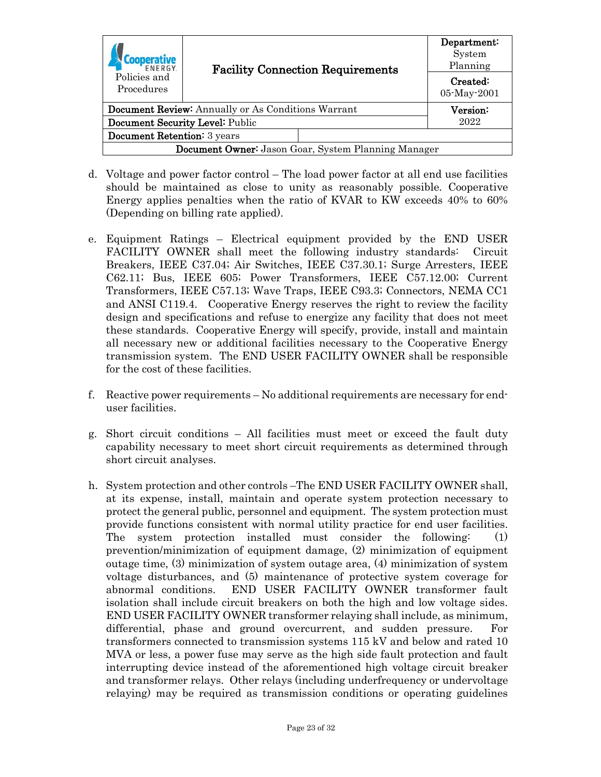| <b>FNFRGY</b>                                              | <b>Facility Connection Requirements</b> |               | Department:<br>System<br>Planning |
|------------------------------------------------------------|-----------------------------------------|---------------|-----------------------------------|
| Policies and<br>Procedures                                 |                                         |               | Created:<br>05-May-2001           |
| <b>Document Review:</b> Annually or As Conditions Warrant  |                                         | $\rm Version$ |                                   |
| Document Security Level: Public                            |                                         | 2022          |                                   |
| Document Retention: 3 years                                |                                         |               |                                   |
| <b>Document Owner:</b> Jason Goar, System Planning Manager |                                         |               |                                   |

- d. Voltage and power factor control The load power factor at all end use facilities should be maintained as close to unity as reasonably possible. Cooperative Energy applies penalties when the ratio of KVAR to KW exceeds 40% to 60% (Depending on billing rate applied).
- e. Equipment Ratings Electrical equipment provided by the END USER FACILITY OWNER shall meet the following industry standards: Circuit Breakers, IEEE C37.04; Air Switches, IEEE C37.30.1; Surge Arresters, IEEE C62.11; Bus, IEEE 605; Power Transformers, IEEE C57.12.00; Current Transformers, IEEE C57.13; Wave Traps, IEEE C93.3; Connectors, NEMA CC1 and ANSI C119.4. Cooperative Energy reserves the right to review the facility design and specifications and refuse to energize any facility that does not meet these standards. Cooperative Energy will specify, provide, install and maintain all necessary new or additional facilities necessary to the Cooperative Energy transmission system. The END USER FACILITY OWNER shall be responsible for the cost of these facilities.
- f. Reactive power requirements No additional requirements are necessary for enduser facilities.
- g. Short circuit conditions All facilities must meet or exceed the fault duty capability necessary to meet short circuit requirements as determined through short circuit analyses.
- h. System protection and other controls –The END USER FACILITY OWNER shall, at its expense, install, maintain and operate system protection necessary to protect the general public, personnel and equipment. The system protection must provide functions consistent with normal utility practice for end user facilities. The system protection installed must consider the following: (1) prevention/minimization of equipment damage, (2) minimization of equipment outage time, (3) minimization of system outage area, (4) minimization of system voltage disturbances, and (5) maintenance of protective system coverage for abnormal conditions. END USER FACILITY OWNER transformer fault isolation shall include circuit breakers on both the high and low voltage sides. END USER FACILITY OWNER transformer relaying shall include, as minimum, differential, phase and ground overcurrent, and sudden pressure. For transformers connected to transmission systems 115 kV and below and rated 10 MVA or less, a power fuse may serve as the high side fault protection and fault interrupting device instead of the aforementioned high voltage circuit breaker and transformer relays. Other relays (including underfrequency or undervoltage relaying) may be required as transmission conditions or operating guidelines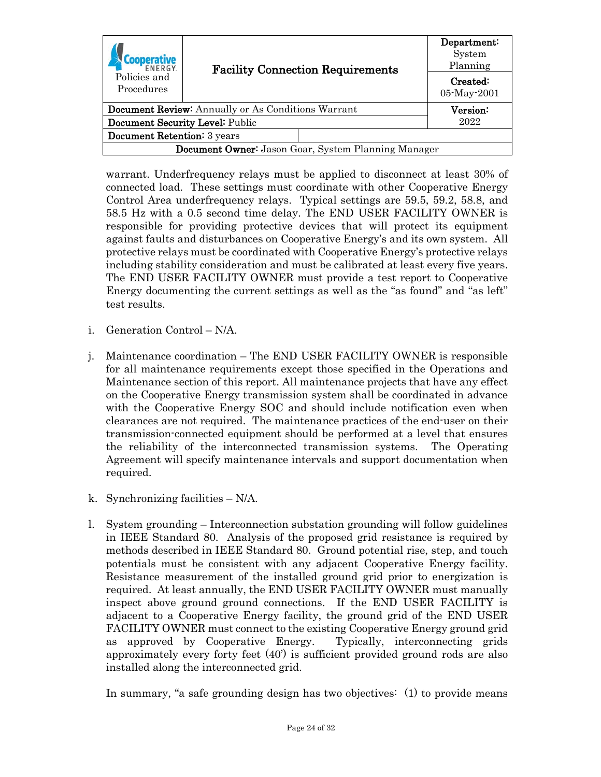| <b>FNFRGY</b>                                             | <b>Facility Connection Requirements</b> |      | Department:<br>System<br>Planning |
|-----------------------------------------------------------|-----------------------------------------|------|-----------------------------------|
| Policies and<br>Procedures                                |                                         |      | Created:<br>05-May-2001           |
|                                                           |                                         |      | Version:                          |
| <b>Document Review:</b> Annually or As Conditions Warrant |                                         |      |                                   |
| Document Security Level: Public                           |                                         | 2022 |                                   |
| Document Retention: 3 years                               |                                         |      |                                   |
| Document Owner: Jason Goar, System Planning Manager       |                                         |      |                                   |

warrant. Underfrequency relays must be applied to disconnect at least 30% of connected load. These settings must coordinate with other Cooperative Energy Control Area underfrequency relays. Typical settings are 59.5, 59.2, 58.8, and 58.5 Hz with a 0.5 second time delay. The END USER FACILITY OWNER is responsible for providing protective devices that will protect its equipment against faults and disturbances on Cooperative Energy's and its own system. All protective relays must be coordinated with Cooperative Energy's protective relays including stability consideration and must be calibrated at least every five years. The END USER FACILITY OWNER must provide a test report to Cooperative Energy documenting the current settings as well as the "as found" and "as left" test results.

- i. Generation Control N/A.
- j. Maintenance coordination The END USER FACILITY OWNER is responsible for all maintenance requirements except those specified in the Operations and Maintenance section of this report. All maintenance projects that have any effect on the Cooperative Energy transmission system shall be coordinated in advance with the Cooperative Energy SOC and should include notification even when clearances are not required. The maintenance practices of the end-user on their transmission-connected equipment should be performed at a level that ensures the reliability of the interconnected transmission systems. The Operating Agreement will specify maintenance intervals and support documentation when required.
- k. Synchronizing facilities N/A.
- l. System grounding Interconnection substation grounding will follow guidelines in IEEE Standard 80. Analysis of the proposed grid resistance is required by methods described in IEEE Standard 80. Ground potential rise, step, and touch potentials must be consistent with any adjacent Cooperative Energy facility. Resistance measurement of the installed ground grid prior to energization is required. At least annually, the END USER FACILITY OWNER must manually inspect above ground ground connections. If the END USER FACILITY is adjacent to a Cooperative Energy facility, the ground grid of the END USER FACILITY OWNER must connect to the existing Cooperative Energy ground grid as approved by Cooperative Energy. Typically, interconnecting grids approximately every forty feet (40') is sufficient provided ground rods are also installed along the interconnected grid.

In summary, "a safe grounding design has two objectives: (1) to provide means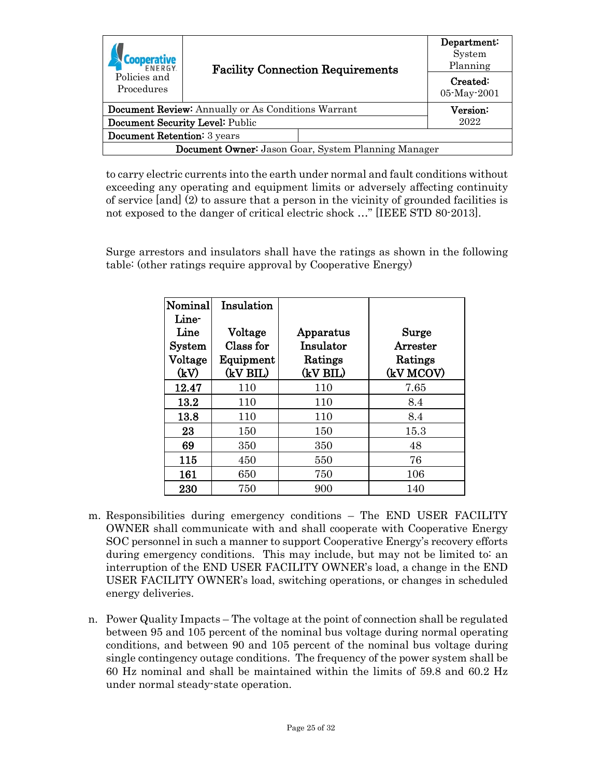| <b>FNFRGY</b>                                             | <b>Facility Connection Requirements</b><br>Procedures |          | Department:<br>System<br>Planning |
|-----------------------------------------------------------|-------------------------------------------------------|----------|-----------------------------------|
| Policies and                                              |                                                       |          | Created:<br>05-May-2001           |
| <b>Document Review:</b> Annually or As Conditions Warrant |                                                       | Version: |                                   |
| Document Security Level: Public                           |                                                       | 2022     |                                   |
| <b>Document Retention:</b> 3 years                        |                                                       |          |                                   |
| Document Owner: Jason Goar, System Planning Manager       |                                                       |          |                                   |

to carry electric currents into the earth under normal and fault conditions without exceeding any operating and equipment limits or adversely affecting continuity of service [and] (2) to assure that a person in the vicinity of grounded facilities is not exposed to the danger of critical electric shock …" [IEEE STD 80-2013].

Surge arrestors and insulators shall have the ratings as shown in the following table: (other ratings require approval by Cooperative Energy)

| Nominal       | Insulation |           |           |
|---------------|------------|-----------|-----------|
| Line-         |            |           |           |
| Line          | Voltage    | Apparatus | Surge     |
| <b>System</b> | Class for  | Insulator | Arrester  |
| Voltage       | Equipment  | Ratings   | Ratings   |
| (kV)          | (kV BIL)   | (kV BIL)  | (kV MCOV) |
| 12.47         | 110        | 110       | 7.65      |
| 13.2          | 110        | 110       | 8.4       |
| 13.8          | 110        | 110       | 8.4       |
| 23            | 150        | 150       | 15.3      |
| 69            | 350        | 350       | 48        |
| 115           | 450        | 550       | 76        |
| 161           | 650        | 750       | 106       |
| 230           | 750        | 900       | 140       |

- m. Responsibilities during emergency conditions The END USER FACILITY OWNER shall communicate with and shall cooperate with Cooperative Energy SOC personnel in such a manner to support Cooperative Energy's recovery efforts during emergency conditions. This may include, but may not be limited to: an interruption of the END USER FACILITY OWNER's load, a change in the END USER FACILITY OWNER's load, switching operations, or changes in scheduled energy deliveries.
- n. Power Quality Impacts The voltage at the point of connection shall be regulated between 95 and 105 percent of the nominal bus voltage during normal operating conditions, and between 90 and 105 percent of the nominal bus voltage during single contingency outage conditions. The frequency of the power system shall be 60 Hz nominal and shall be maintained within the limits of 59.8 and 60.2 Hz under normal steady-state operation.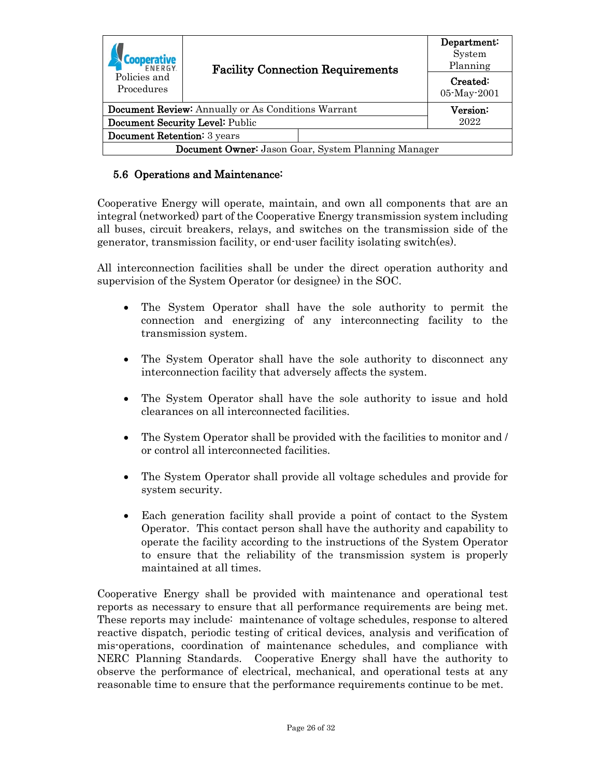| <b>FNFRGY</b>                                             | <b>Facility Connection Requirements</b> |          | Department:<br>System<br>Planning |
|-----------------------------------------------------------|-----------------------------------------|----------|-----------------------------------|
| Policies and<br>Procedures                                |                                         |          | Created:<br>05-May-2001           |
|                                                           |                                         |          |                                   |
| <b>Document Review:</b> Annually or As Conditions Warrant |                                         | Version: |                                   |
| Document Security Level: Public                           |                                         | 2022     |                                   |
| Document Retention: 3 years                               |                                         |          |                                   |
| Document Owner: Jason Goar, System Planning Manager       |                                         |          |                                   |

#### <span id="page-25-0"></span>5.6 Operations and Maintenance:

Cooperative Energy will operate, maintain, and own all components that are an integral (networked) part of the Cooperative Energy transmission system including all buses, circuit breakers, relays, and switches on the transmission side of the generator, transmission facility, or end-user facility isolating switch(es).

All interconnection facilities shall be under the direct operation authority and supervision of the System Operator (or designee) in the SOC.

- The System Operator shall have the sole authority to permit the connection and energizing of any interconnecting facility to the transmission system.
- The System Operator shall have the sole authority to disconnect any interconnection facility that adversely affects the system.
- The System Operator shall have the sole authority to issue and hold clearances on all interconnected facilities.
- The System Operator shall be provided with the facilities to monitor and / or control all interconnected facilities.
- The System Operator shall provide all voltage schedules and provide for system security.
- Each generation facility shall provide a point of contact to the System Operator. This contact person shall have the authority and capability to operate the facility according to the instructions of the System Operator to ensure that the reliability of the transmission system is properly maintained at all times.

Cooperative Energy shall be provided with maintenance and operational test reports as necessary to ensure that all performance requirements are being met. These reports may include: maintenance of voltage schedules, response to altered reactive dispatch, periodic testing of critical devices, analysis and verification of mis-operations, coordination of maintenance schedules, and compliance with NERC Planning Standards. Cooperative Energy shall have the authority to observe the performance of electrical, mechanical, and operational tests at any reasonable time to ensure that the performance requirements continue to be met.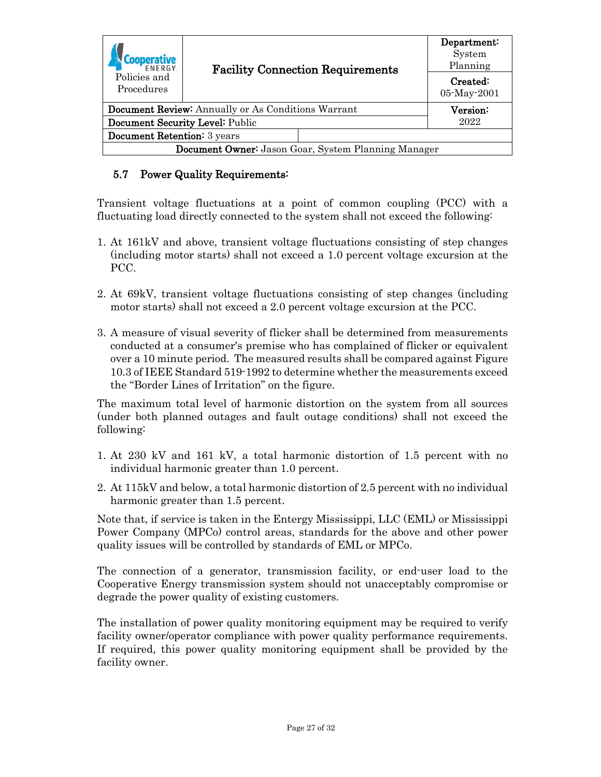| <b>FNFRGY</b>                                              | <b>Facility Connection Requirements</b> |                         | Department:<br>System<br>Planning |
|------------------------------------------------------------|-----------------------------------------|-------------------------|-----------------------------------|
| Policies and<br>Procedures                                 |                                         | Created:<br>05-May-2001 |                                   |
|                                                            |                                         |                         |                                   |
| <b>Document Review:</b> Annually or As Conditions Warrant  |                                         | Version:                |                                   |
| Document Security Level: Public                            |                                         | 2022                    |                                   |
| Document Retention: 3 years                                |                                         |                         |                                   |
| <b>Document Owner:</b> Jason Goar, System Planning Manager |                                         |                         |                                   |

### <span id="page-26-0"></span>5.7 Power Quality Requirements:

Transient voltage fluctuations at a point of common coupling (PCC) with a fluctuating load directly connected to the system shall not exceed the following:

- 1. At 161kV and above, transient voltage fluctuations consisting of step changes (including motor starts) shall not exceed a 1.0 percent voltage excursion at the PCC.
- 2. At 69kV, transient voltage fluctuations consisting of step changes (including motor starts) shall not exceed a 2.0 percent voltage excursion at the PCC.
- 3. A measure of visual severity of flicker shall be determined from measurements conducted at a consumer's premise who has complained of flicker or equivalent over a 10 minute period. The measured results shall be compared against Figure 10.3 of IEEE Standard 519-1992 to determine whether the measurements exceed the "Border Lines of Irritation" on the figure.

The maximum total level of harmonic distortion on the system from all sources (under both planned outages and fault outage conditions) shall not exceed the following:

- 1. At 230 kV and 161 kV, a total harmonic distortion of 1.5 percent with no individual harmonic greater than 1.0 percent.
- 2. At 115kV and below, a total harmonic distortion of 2.5 percent with no individual harmonic greater than 1.5 percent.

Note that, if service is taken in the Entergy Mississippi, LLC (EML) or Mississippi Power Company (MPCo) control areas, standards for the above and other power quality issues will be controlled by standards of EML or MPCo.

The connection of a generator, transmission facility, or end-user load to the Cooperative Energy transmission system should not unacceptably compromise or degrade the power quality of existing customers.

The installation of power quality monitoring equipment may be required to verify facility owner/operator compliance with power quality performance requirements. If required, this power quality monitoring equipment shall be provided by the facility owner.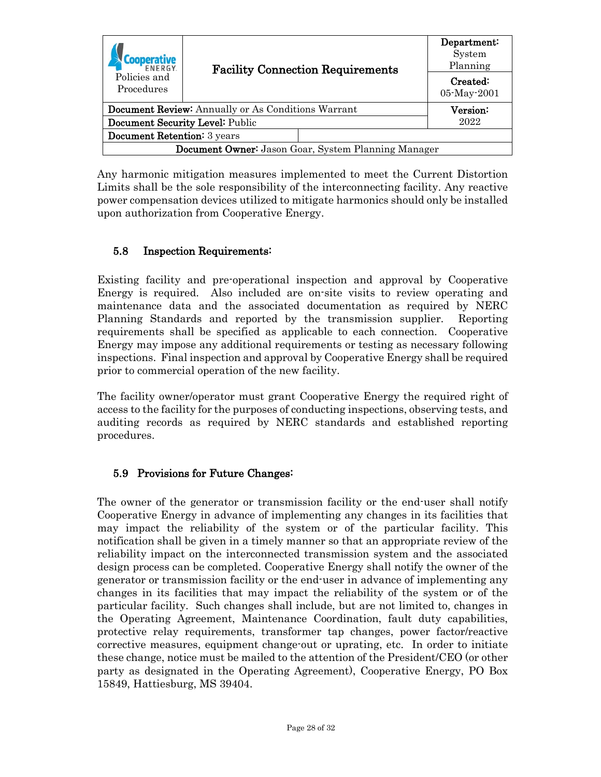| <b>FNFRGY</b>                                             | <b>Facility Connection Requirements</b> |          | Department:<br>System<br>Planning |
|-----------------------------------------------------------|-----------------------------------------|----------|-----------------------------------|
| Policies and<br>Procedures                                |                                         |          | Created:<br>05-May-2001           |
|                                                           |                                         |          |                                   |
| <b>Document Review:</b> Annually or As Conditions Warrant |                                         | Version: |                                   |
| Document Security Level: Public                           |                                         | 2022     |                                   |
| Document Retention: 3 years                               |                                         |          |                                   |
| Document Owner: Jason Goar, System Planning Manager       |                                         |          |                                   |

Any harmonic mitigation measures implemented to meet the Current Distortion Limits shall be the sole responsibility of the interconnecting facility. Any reactive power compensation devices utilized to mitigate harmonics should only be installed upon authorization from Cooperative Energy.

#### <span id="page-27-0"></span>5.8 Inspection Requirements:

Existing facility and pre-operational inspection and approval by Cooperative Energy is required. Also included are on-site visits to review operating and maintenance data and the associated documentation as required by NERC Planning Standards and reported by the transmission supplier. Reporting requirements shall be specified as applicable to each connection. Cooperative Energy may impose any additional requirements or testing as necessary following inspections. Final inspection and approval by Cooperative Energy shall be required prior to commercial operation of the new facility.

The facility owner/operator must grant Cooperative Energy the required right of access to the facility for the purposes of conducting inspections, observing tests, and auditing records as required by NERC standards and established reporting procedures.

#### <span id="page-27-1"></span>5.9 Provisions for Future Changes:

The owner of the generator or transmission facility or the end-user shall notify Cooperative Energy in advance of implementing any changes in its facilities that may impact the reliability of the system or of the particular facility. This notification shall be given in a timely manner so that an appropriate review of the reliability impact on the interconnected transmission system and the associated design process can be completed. Cooperative Energy shall notify the owner of the generator or transmission facility or the end-user in advance of implementing any changes in its facilities that may impact the reliability of the system or of the particular facility. Such changes shall include, but are not limited to, changes in the Operating Agreement, Maintenance Coordination, fault duty capabilities, protective relay requirements, transformer tap changes, power factor/reactive corrective measures, equipment change-out or uprating, etc. In order to initiate these change, notice must be mailed to the attention of the President/CEO (or other party as designated in the Operating Agreement), Cooperative Energy, PO Box 15849, Hattiesburg, MS 39404.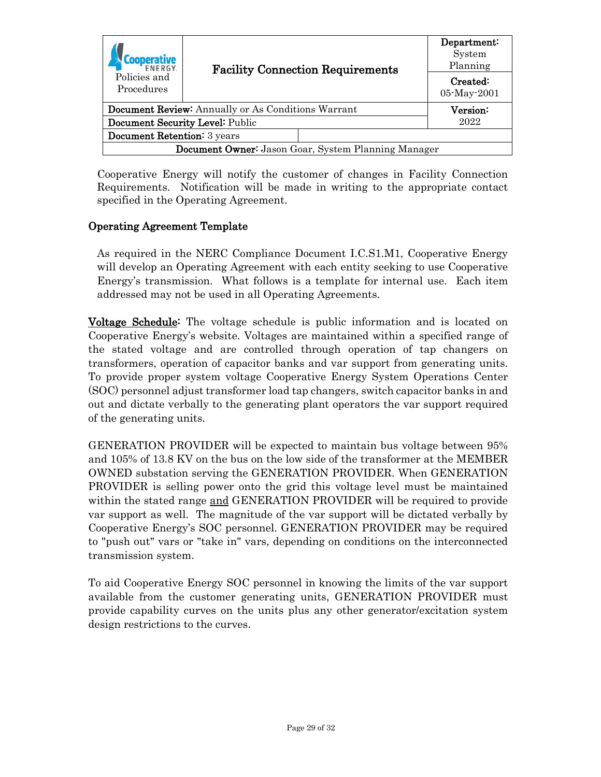| <b>FNFRGY</b><br>Policies and<br>Procedures                | <b>Facility Connection Requirements</b> | Department:<br>System<br>Planning |  |  |
|------------------------------------------------------------|-----------------------------------------|-----------------------------------|--|--|
|                                                            |                                         | Created:<br>05-May-2001           |  |  |
| <b>Document Review:</b> Annually or As Conditions Warrant  |                                         | Version:                          |  |  |
| Document Security Level: Public                            |                                         | 2022                              |  |  |
| <b>Document Retention:</b> 3 years                         |                                         |                                   |  |  |
| <b>Document Owner:</b> Jason Goar, System Planning Manager |                                         |                                   |  |  |

Cooperative Energy will notify the customer of changes in Facility Connection Requirements. Notification will be made in writing to the appropriate contact specified in the Operating Agreement.

#### Operating Agreement Template

As required in the NERC Compliance Document I.C.S1.M1, Cooperative Energy will develop an Operating Agreement with each entity seeking to use Cooperative Energy's transmission. What follows is a template for internal use. Each item addressed may not be used in all Operating Agreements.

**Voltage Schedule:** The voltage schedule is public information and is located on Cooperative Energy's website. Voltages are maintained within a specified range of the stated voltage and are controlled through operation of tap changers on transformers, operation of capacitor banks and var support from generating units. To provide proper system voltage Cooperative Energy System Operations Center (SOC) personnel adjust transformer load tap changers, switch capacitor banks in and out and dictate verbally to the generating plant operators the var support required of the generating units.

GENERATION PROVIDER will be expected to maintain bus voltage between 95% and 105% of 13.8 KV on the bus on the low side of the transformer at the MEMBER OWNED substation serving the GENERATION PROVIDER. When GENERATION PROVIDER is selling power onto the grid this voltage level must be maintained within the stated range and GENERATION PROVIDER will be required to provide var support as well. The magnitude of the var support will be dictated verbally by Cooperative Energy's SOC personnel. GENERATION PROVIDER may be required to "push out" vars or "take in" vars, depending on conditions on the interconnected transmission system.

To aid Cooperative Energy SOC personnel in knowing the limits of the var support available from the customer generating units, GENERATION PROVIDER must provide capability curves on the units plus any other generator/excitation system design restrictions to the curves.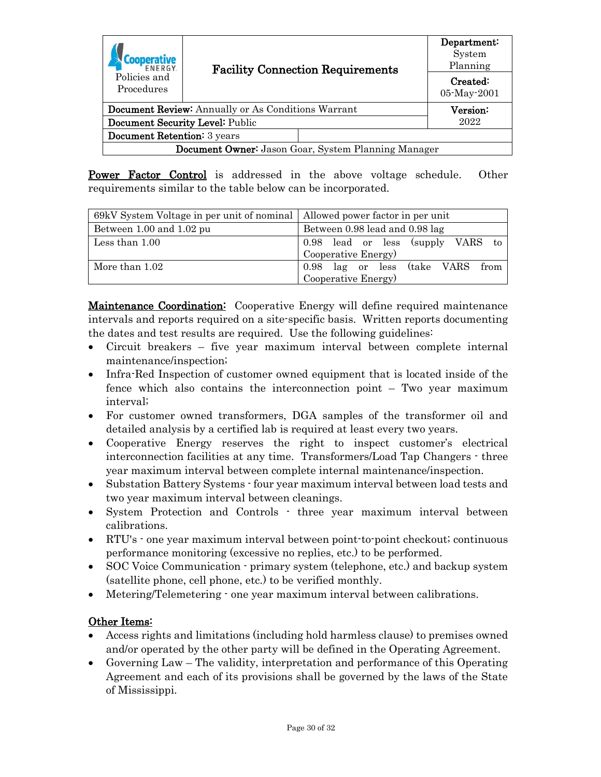| Policies and<br>Procedures                                | <b>Facility Connection Requirements</b> | Department:<br>System<br>Planning |                         |  |
|-----------------------------------------------------------|-----------------------------------------|-----------------------------------|-------------------------|--|
|                                                           |                                         |                                   | Created:<br>05-May-2001 |  |
| <b>Document Review:</b> Annually or As Conditions Warrant |                                         | $\rm Version$                     |                         |  |
| Document Security Level: Public                           |                                         | 2022                              |                         |  |
| Document Retention: 3 years                               |                                         |                                   |                         |  |
| Document Owner: Jason Goar, System Planning Manager       |                                         |                                   |                         |  |

Power Factor Control is addressed in the above voltage schedule. Other requirements similar to the table below can be incorporated.

| Between 1.00 and 1.02 pu | Between 0.98 lead and 0.98 lag                             |  |  |  |
|--------------------------|------------------------------------------------------------|--|--|--|
| Less than $1.00$         | 0.98 lead or less (supply VARS to<br>Cooperative Energy)   |  |  |  |
| More than 1.02           | 0.98 lag or less (take VARS<br>from<br>Cooperative Energy) |  |  |  |

**Maintenance Coordination:** Cooperative Energy will define required maintenance intervals and reports required on a site-specific basis. Written reports documenting the dates and test results are required. Use the following guidelines:

- Circuit breakers five year maximum interval between complete internal maintenance/inspection;
- Infra-Red Inspection of customer owned equipment that is located inside of the fence which also contains the interconnection point – Two year maximum interval;
- For customer owned transformers, DGA samples of the transformer oil and detailed analysis by a certified lab is required at least every two years.
- Cooperative Energy reserves the right to inspect customer's electrical interconnection facilities at any time. Transformers/Load Tap Changers - three year maximum interval between complete internal maintenance/inspection.
- Substation Battery Systems four year maximum interval between load tests and two year maximum interval between cleanings.
- System Protection and Controls three year maximum interval between calibrations.
- RTU's  $\cdot$  one year maximum interval between point-to-point checkout; continuous performance monitoring (excessive no replies, etc.) to be performed.
- SOC Voice Communication primary system (telephone, etc.) and backup system (satellite phone, cell phone, etc.) to be verified monthly.
- Metering/Telemetering  $\cdot$  one year maximum interval between calibrations.

#### Other Items:

- Access rights and limitations (including hold harmless clause) to premises owned and/or operated by the other party will be defined in the Operating Agreement.
- Governing Law The validity, interpretation and performance of this Operating Agreement and each of its provisions shall be governed by the laws of the State of Mississippi.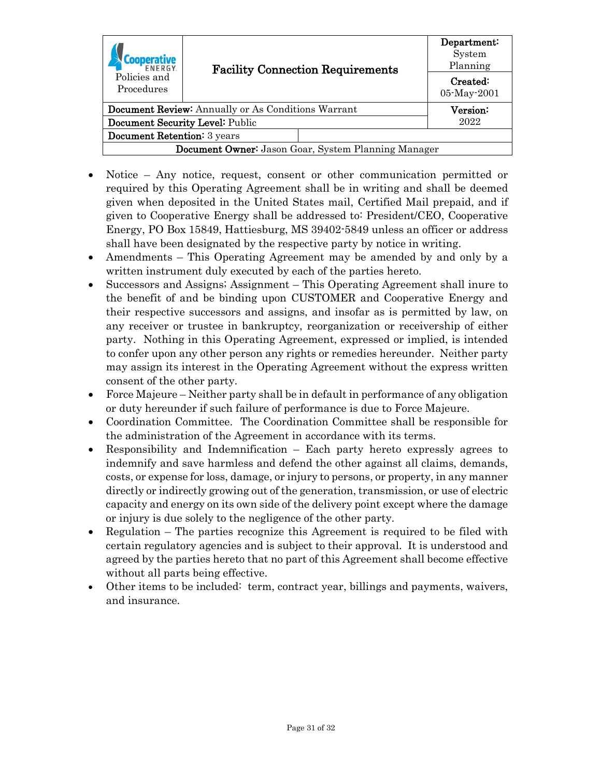| <b>FNFRGY</b><br>Policies and<br>Procedures                | <b>Facility Connection Requirements</b> | Department:<br>System<br>Planning |                         |  |
|------------------------------------------------------------|-----------------------------------------|-----------------------------------|-------------------------|--|
|                                                            |                                         |                                   | Created:<br>05-May-2001 |  |
| <b>Document Review:</b> Annually or As Conditions Warrant  |                                         | Version:                          |                         |  |
| Document Security Level: Public                            |                                         | 2022                              |                         |  |
| <b>Document Retention:</b> 3 years                         |                                         |                                   |                         |  |
| <b>Document Owner:</b> Jason Goar, System Planning Manager |                                         |                                   |                         |  |

- Notice Any notice, request, consent or other communication permitted or required by this Operating Agreement shall be in writing and shall be deemed given when deposited in the United States mail, Certified Mail prepaid, and if given to Cooperative Energy shall be addressed to: President/CEO, Cooperative Energy, PO Box 15849, Hattiesburg, MS 39402-5849 unless an officer or address shall have been designated by the respective party by notice in writing.
- Amendments This Operating Agreement may be amended by and only by a written instrument duly executed by each of the parties hereto.
- Successors and Assigns; Assignment This Operating Agreement shall inure to the benefit of and be binding upon CUSTOMER and Cooperative Energy and their respective successors and assigns, and insofar as is permitted by law, on any receiver or trustee in bankruptcy, reorganization or receivership of either party. Nothing in this Operating Agreement, expressed or implied, is intended to confer upon any other person any rights or remedies hereunder. Neither party may assign its interest in the Operating Agreement without the express written consent of the other party.
- Force Majeure Neither party shall be in default in performance of any obligation or duty hereunder if such failure of performance is due to Force Majeure.
- Coordination Committee. The Coordination Committee shall be responsible for the administration of the Agreement in accordance with its terms.
- Responsibility and Indemnification Each party hereto expressly agrees to indemnify and save harmless and defend the other against all claims, demands, costs, or expense for loss, damage, or injury to persons, or property, in any manner directly or indirectly growing out of the generation, transmission, or use of electric capacity and energy on its own side of the delivery point except where the damage or injury is due solely to the negligence of the other party.
- Regulation The parties recognize this Agreement is required to be filed with certain regulatory agencies and is subject to their approval. It is understood and agreed by the parties hereto that no part of this Agreement shall become effective without all parts being effective.
- Other items to be included: term, contract year, billings and payments, waivers, and insurance.